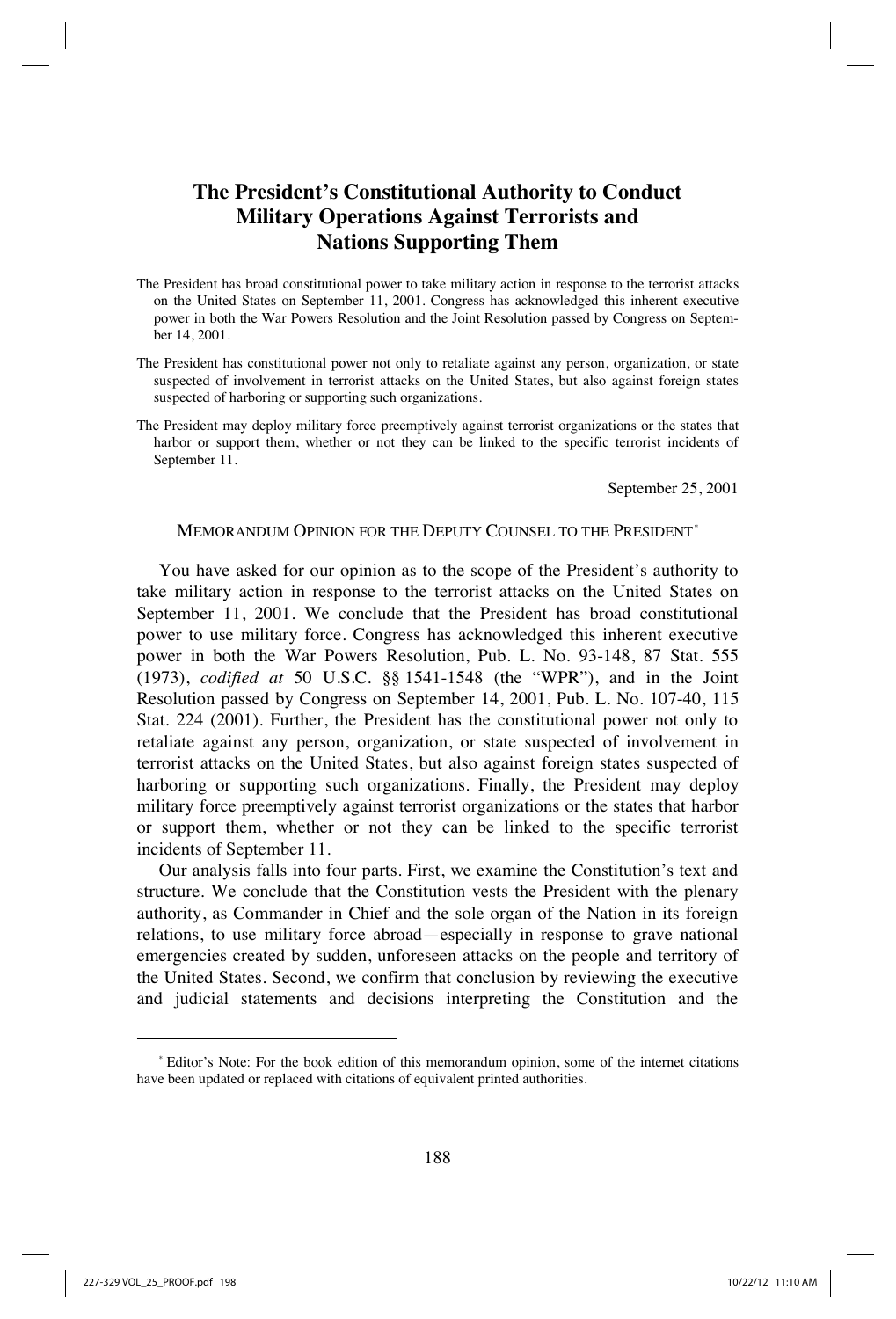# **The President's Constitutional Authority to Conduct Military Operations Against Terrorists and Nations Supporting Them**

- The President has broad constitutional power to take military action in response to the terrorist attacks on the United States on September 11, 2001. Congress has acknowledged this inherent executive power in both the War Powers Resolution and the Joint Resolution passed by Congress on September 14, 2001.
- The President has constitutional power not only to retaliate against any person, organization, or state suspected of involvement in terrorist attacks on the United States, but also against foreign states suspected of harboring or supporting such organizations.
- The President may deploy military force preemptively against terrorist organizations or the states that harbor or support them, whether or not they can be linked to the specific terrorist incidents of September 11.

September 25, 2001

# MEMORANDUM OPINION FOR THE DEPUTY COUNSEL TO THE PRESIDENT<sup>\*</sup>

You have asked for our opinion as to the scope of the President's authority to take military action in response to the terrorist attacks on the United States on September 11, 2001. We conclude that the President has broad constitutional power to use military force. Congress has acknowledged this inherent executive power in both the War Powers Resolution, Pub. L. No. 93-148, 87 Stat. 555 (1973), *codified at* 50 U.S.C. §§ 1541-1548 (the "WPR"), and in the Joint Resolution passed by Congress on September 14, 2001, Pub. L. No. 107-40, 115 Stat. 224 (2001). Further, the President has the constitutional power not only to retaliate against any person, organization, or state suspected of involvement in terrorist attacks on the United States, but also against foreign states suspected of harboring or supporting such organizations. Finally, the President may deploy military force preemptively against terrorist organizations or the states that harbor or support them, whether or not they can be linked to the specific terrorist incidents of September 11.

Our analysis falls into four parts. First, we examine the Constitution's text and structure. We conclude that the Constitution vests the President with the plenary authority, as Commander in Chief and the sole organ of the Nation in its foreign relations, to use military force abroad—especially in response to grave national emergencies created by sudden, unforeseen attacks on the people and territory of the United States. Second, we confirm that conclusion by reviewing the executive and judicial statements and decisions interpreting the Constitution and the

<sup>\*</sup> Editor's Note: For the book edition of this memorandum opinion, some of the internet citations have been updated or replaced with citations of equivalent printed authorities.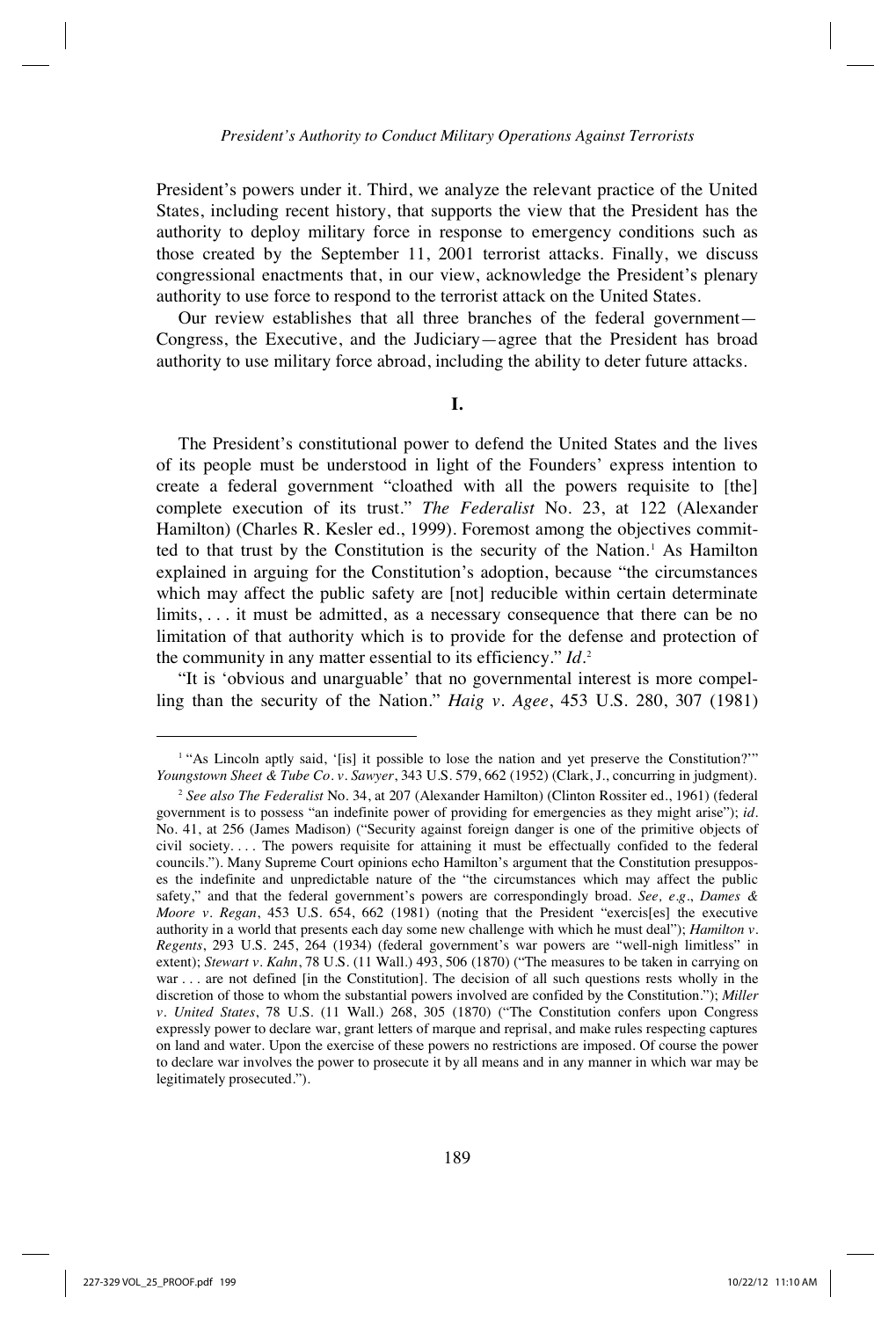President's powers under it. Third, we analyze the relevant practice of the United States, including recent history, that supports the view that the President has the authority to deploy military force in response to emergency conditions such as those created by the September 11, 2001 terrorist attacks. Finally, we discuss congressional enactments that, in our view, acknowledge the President's plenary authority to use force to respond to the terrorist attack on the United States.

Our review establishes that all three branches of the federal government— Congress, the Executive, and the Judiciary—agree that the President has broad authority to use military force abroad, including the ability to deter future attacks.

#### **I.**

The President's constitutional power to defend the United States and the lives of its people must be understood in light of the Founders' express intention to create a federal government "cloathed with all the powers requisite to [the] complete execution of its trust." *The Federalist* No. 23, at 122 (Alexander Hamilton) (Charles R. Kesler ed., 1999). Foremost among the objectives committed to that trust by the Constitution is the security of the Nation. <sup>1</sup> As Hamilton explained in arguing for the Constitution's adoption, because "the circumstances which may affect the public safety are [not] reducible within certain determinate limits, . . . it must be admitted, as a necessary consequence that there can be no limitation of that authority which is to provide for the defense and protection of the community in any matter essential to its efficiency." *Id.*<sup>2</sup>

"It is 'obvious and unarguable' that no governmental interest is more compelling than the security of the Nation." *Haig v. Agee*, 453 U.S. 280, 307 (1981)

<sup>&</sup>lt;sup>1</sup> "As Lincoln aptly said, '[is] it possible to lose the nation and yet preserve the Constitution?'" *Youngstown Sheet & Tube Co. v. Sawyer*, 343 U.S. 579, 662 (1952) (Clark, J., concurring in judgment).

<sup>2</sup> *See also The Federalist* No. 34, at 207 (Alexander Hamilton) (Clinton Rossiter ed., 1961) (federal government is to possess "an indefinite power of providing for emergencies as they might arise"); *id.* No. 41, at 256 (James Madison) ("Security against foreign danger is one of the primitive objects of civil society. . . . The powers requisite for attaining it must be effectually confided to the federal councils."). Many Supreme Court opinions echo Hamilton's argument that the Constitution presupposes the indefinite and unpredictable nature of the "the circumstances which may affect the public safety," and that the federal government's powers are correspondingly broad. *See, e.g.*, *Dames & Moore v. Regan*, 453 U.S. 654, 662 (1981) (noting that the President "exercis[es] the executive authority in a world that presents each day some new challenge with which he must deal"); *Hamilton v. Regents*, 293 U.S. 245, 264 (1934) (federal government's war powers are "well-nigh limitless" in extent); *Stewart v. Kahn*, 78 U.S. (11 Wall.) 493, 506 (1870) ("The measures to be taken in carrying on war . . . are not defined [in the Constitution]. The decision of all such questions rests wholly in the discretion of those to whom the substantial powers involved are confided by the Constitution."); *Miller v. United States*, 78 U.S. (11 Wall.) 268, 305 (1870) ("The Constitution confers upon Congress expressly power to declare war, grant letters of marque and reprisal, and make rules respecting captures on land and water. Upon the exercise of these powers no restrictions are imposed. Of course the power to declare war involves the power to prosecute it by all means and in any manner in which war may be legitimately prosecuted.").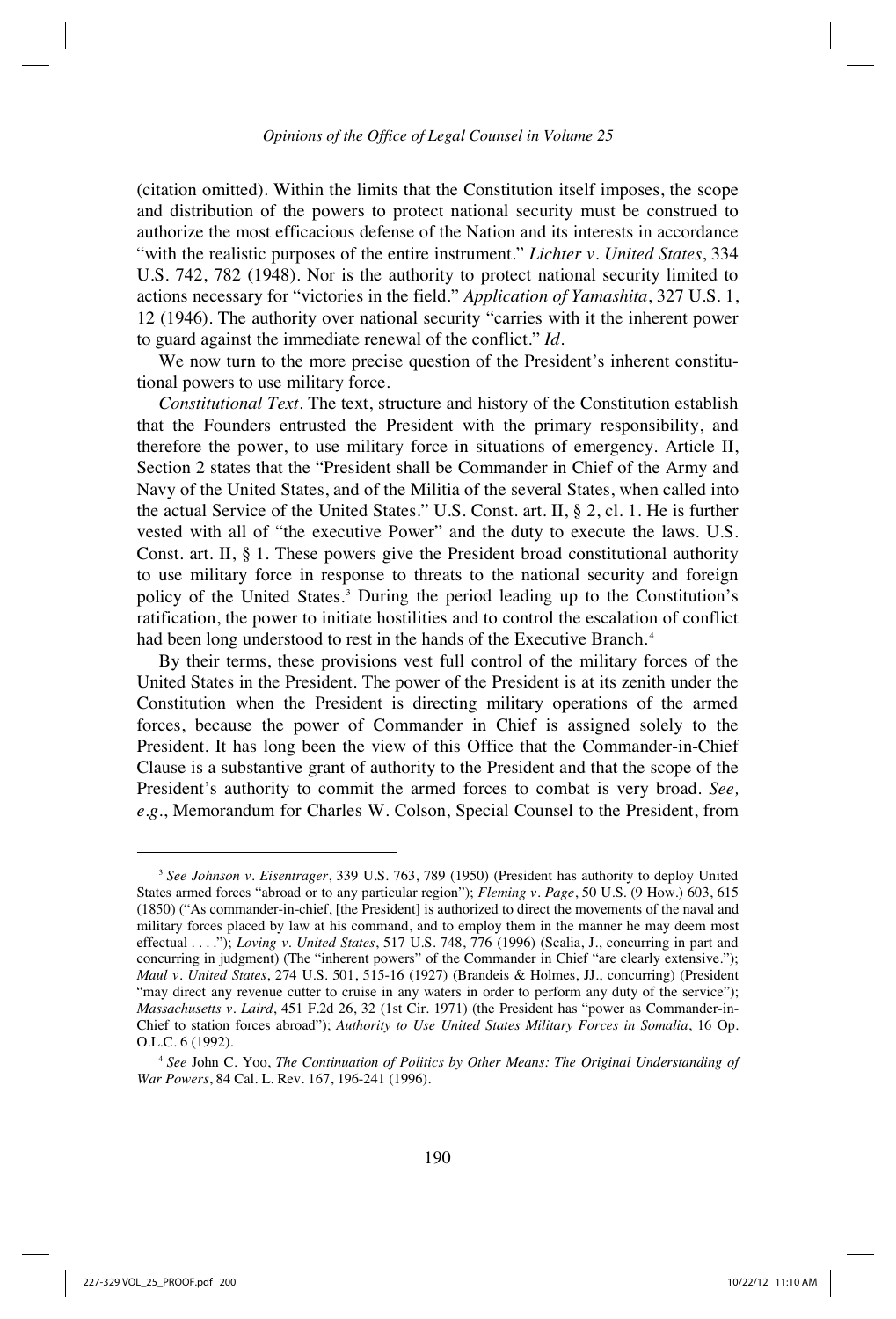(citation omitted). Within the limits that the Constitution itself imposes, the scope and distribution of the powers to protect national security must be construed to authorize the most efficacious defense of the Nation and its interests in accordance "with the realistic purposes of the entire instrument." *Lichter v. United States*, 334 U.S. 742, 782 (1948). Nor is the authority to protect national security limited to actions necessary for "victories in the field." *Application of Yamashita*, 327 U.S. 1, 12 (1946). The authority over national security "carries with it the inherent power to guard against the immediate renewal of the conflict." *Id.*

We now turn to the more precise question of the President's inherent constitutional powers to use military force.

*Constitutional Text.* The text, structure and history of the Constitution establish that the Founders entrusted the President with the primary responsibility, and therefore the power, to use military force in situations of emergency. Article II, Section 2 states that the "President shall be Commander in Chief of the Army and Navy of the United States, and of the Militia of the several States, when called into the actual Service of the United States." U.S. Const. art. II, § 2, cl. 1. He is further vested with all of "the executive Power" and the duty to execute the laws. U.S. Const. art. II,  $\S$  1. These powers give the President broad constitutional authority to use military force in response to threats to the national security and foreign policy of the United States.3 During the period leading up to the Constitution's ratification, the power to initiate hostilities and to control the escalation of conflict had been long understood to rest in the hands of the Executive Branch.<sup>4</sup>

By their terms, these provisions vest full control of the military forces of the United States in the President. The power of the President is at its zenith under the Constitution when the President is directing military operations of the armed forces, because the power of Commander in Chief is assigned solely to the President. It has long been the view of this Office that the Commander-in-Chief Clause is a substantive grant of authority to the President and that the scope of the President's authority to commit the armed forces to combat is very broad. *See, e.g.*, Memorandum for Charles W. Colson, Special Counsel to the President, from

<sup>3</sup> *See Johnson v. Eisentrager*, 339 U.S. 763, 789 (1950) (President has authority to deploy United States armed forces "abroad or to any particular region"); *Fleming v. Page*, 50 U.S. (9 How.) 603, 615 (1850) ("As commander-in-chief, [the President] is authorized to direct the movements of the naval and military forces placed by law at his command, and to employ them in the manner he may deem most effectual . . . ."); *Loving v. United States*, 517 U.S. 748, 776 (1996) (Scalia, J., concurring in part and concurring in judgment) (The "inherent powers" of the Commander in Chief "are clearly extensive."); *Maul v. United States*, 274 U.S. 501, 515-16 (1927) (Brandeis & Holmes, JJ., concurring) (President "may direct any revenue cutter to cruise in any waters in order to perform any duty of the service"); *Massachusetts v. Laird*, 451 F.2d 26, 32 (1st Cir. 1971) (the President has "power as Commander-in-Chief to station forces abroad"); *Authority to Use United States Military Forces in Somalia*, 16 Op. O.L.C. 6 (1992).

<sup>4</sup> *See* John C. Yoo, *The Continuation of Politics by Other Means: The Original Understanding of War Powers*, 84 Cal. L. Rev. 167, 196-241 (1996).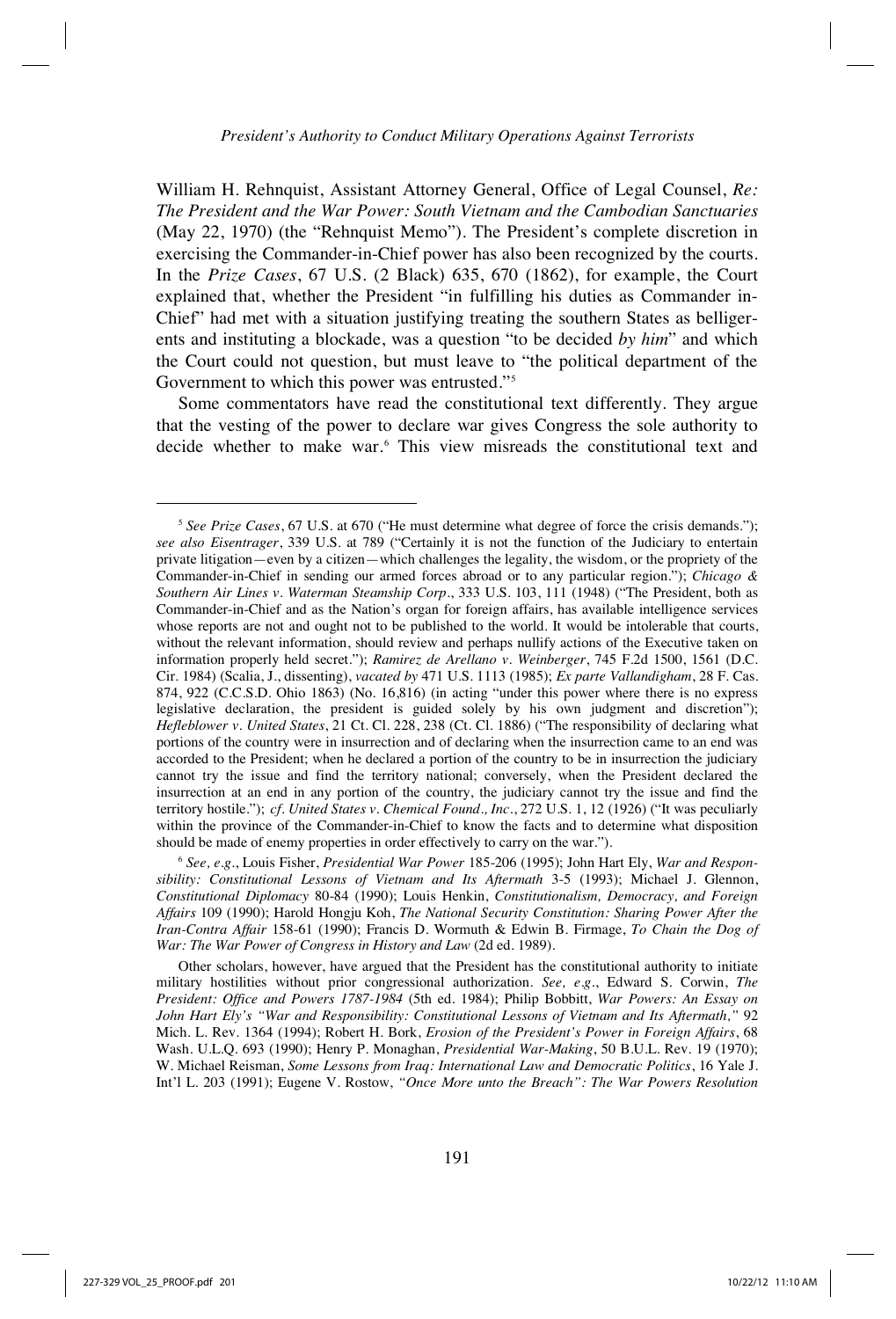William H. Rehnquist, Assistant Attorney General, Office of Legal Counsel, *Re: The President and the War Power: South Vietnam and the Cambodian Sanctuaries*  (May 22, 1970) (the "Rehnquist Memo"). The President's complete discretion in exercising the Commander-in-Chief power has also been recognized by the courts. In the *Prize Cases*, 67 U.S. (2 Black) 635, 670 (1862), for example, the Court explained that, whether the President "in fulfilling his duties as Commander in-Chief" had met with a situation justifying treating the southern States as belligerents and instituting a blockade, was a question "to be decided *by him*" and which the Court could not question, but must leave to "the political department of the Government to which this power was entrusted."<sup>5</sup>

Some commentators have read the constitutional text differently. They argue that the vesting of the power to declare war gives Congress the sole authority to decide whether to make war.<sup>6</sup> This view misreads the constitutional text and

<sup>5</sup> *See Prize Cases*, 67 U.S. at 670 ("He must determine what degree of force the crisis demands."); *see also Eisentrager*, 339 U.S. at 789 ("Certainly it is not the function of the Judiciary to entertain private litigation—even by a citizen—which challenges the legality, the wisdom, or the propriety of the Commander-in-Chief in sending our armed forces abroad or to any particular region."); *Chicago & Southern Air Lines v. Waterman Steamship Corp.*, 333 U.S. 103, 111 (1948) ("The President, both as Commander-in-Chief and as the Nation's organ for foreign affairs, has available intelligence services whose reports are not and ought not to be published to the world. It would be intolerable that courts, without the relevant information, should review and perhaps nullify actions of the Executive taken on information properly held secret."); *Ramirez de Arellano v. Weinberger*, 745 F.2d 1500, 1561 (D.C. Cir. 1984) (Scalia, J., dissenting), *vacated by* 471 U.S. 1113 (1985); *Ex parte Vallandigham*, 28 F. Cas. 874, 922 (C.C.S.D. Ohio 1863) (No. 16,816) (in acting "under this power where there is no express legislative declaration, the president is guided solely by his own judgment and discretion"); *Hefleblower v. United States*, 21 Ct. Cl. 228, 238 (Ct. Cl. 1886) ("The responsibility of declaring what portions of the country were in insurrection and of declaring when the insurrection came to an end was accorded to the President; when he declared a portion of the country to be in insurrection the judiciary cannot try the issue and find the territory national; conversely, when the President declared the insurrection at an end in any portion of the country, the judiciary cannot try the issue and find the territory hostile."); *cf. United States v. Chemical Found., Inc.*, 272 U.S. 1, 12 (1926) ("It was peculiarly within the province of the Commander-in-Chief to know the facts and to determine what disposition should be made of enemy properties in order effectively to carry on the war.").

<sup>6</sup> *See, e.g.*, Louis Fisher, *Presidential War Power* 185-206 (1995); John Hart Ely, *War and Responsibility: Constitutional Lessons of Vietnam and Its Aftermath* 3-5 (1993); Michael J. Glennon, *Constitutional Diplomacy* 80-84 (1990); Louis Henkin, *Constitutionalism, Democracy, and Foreign Affairs* 109 (1990); Harold Hongju Koh, *The National Security Constitution: Sharing Power After the Iran-Contra Affair* 158-61 (1990); Francis D. Wormuth & Edwin B. Firmage, *To Chain the Dog of War: The War Power of Congress in History and Law* (2d ed. 1989).

Other scholars, however, have argued that the President has the constitutional authority to initiate military hostilities without prior congressional authorization. *See, e.g.*, Edward S. Corwin, *The President: Office and Powers 1787-1984* (5th ed. 1984); Philip Bobbitt, *War Powers: An Essay on John Hart Ely's "War and Responsibility: Constitutional Lessons of Vietnam and Its Aftermath,"* 92 Mich. L. Rev. 1364 (1994); Robert H. Bork, *Erosion of the President's Power in Foreign Affairs*, 68 Wash. U.L.Q. 693 (1990); Henry P. Monaghan, *Presidential War-Making*, 50 B.U.L. Rev. 19 (1970); W. Michael Reisman, *Some Lessons from Iraq: International Law and Democratic Politics*, 16 Yale J. Int'l L. 203 (1991); Eugene V. Rostow, *"Once More unto the Breach": The War Powers Resolution*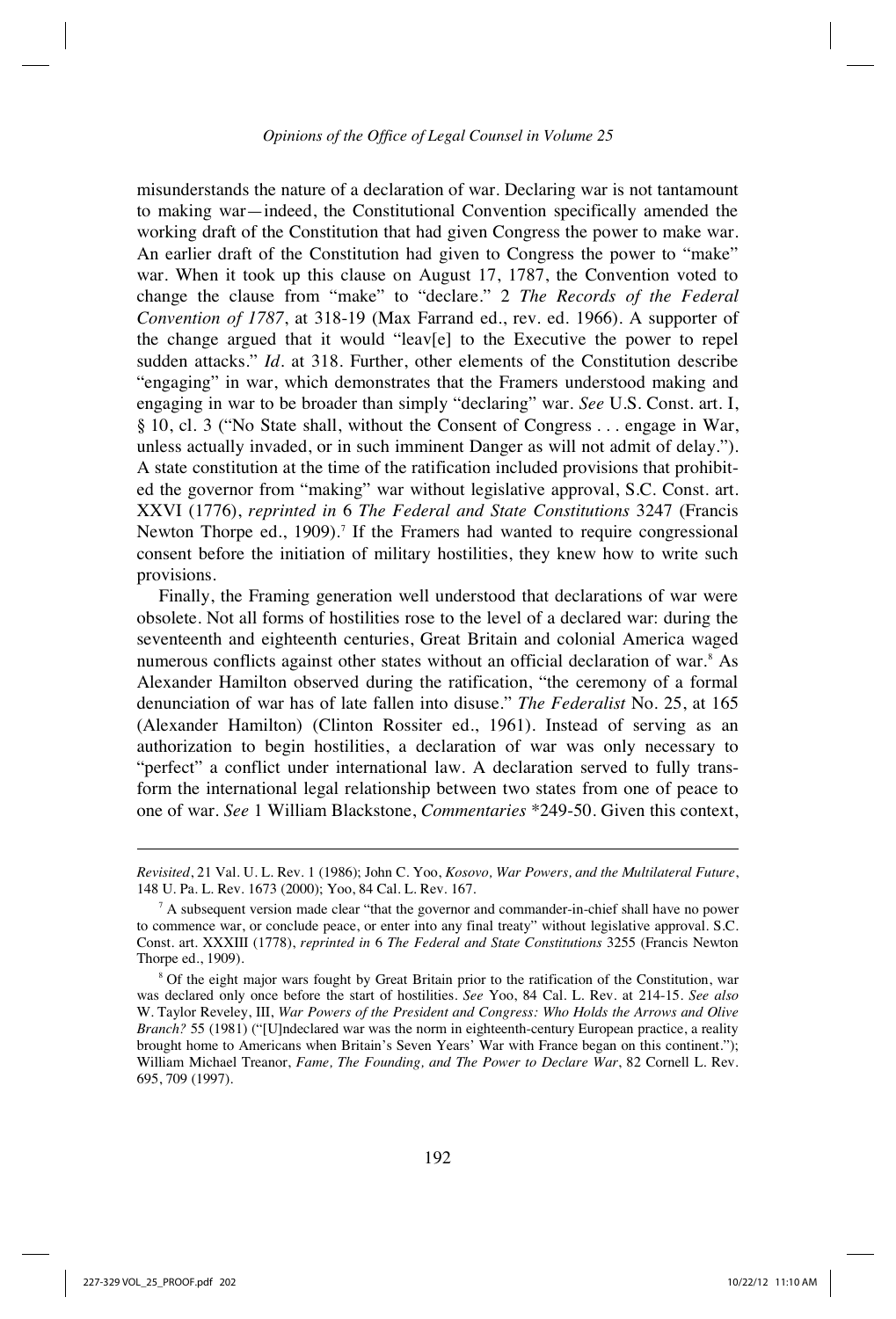misunderstands the nature of a declaration of war. Declaring war is not tantamount to making war—indeed, the Constitutional Convention specifically amended the working draft of the Constitution that had given Congress the power to make war. An earlier draft of the Constitution had given to Congress the power to "make" war. When it took up this clause on August 17, 1787, the Convention voted to change the clause from "make" to "declare." 2 *The Records of the Federal Convention of 1787*, at 318-19 (Max Farrand ed., rev. ed. 1966). A supporter of the change argued that it would "leav[e] to the Executive the power to repel sudden attacks." *Id.* at 318. Further, other elements of the Constitution describe "engaging" in war, which demonstrates that the Framers understood making and engaging in war to be broader than simply "declaring" war. *See* U.S. Const. art. I, § 10, cl. 3 ("No State shall, without the Consent of Congress . . . engage in War, unless actually invaded, or in such imminent Danger as will not admit of delay."). A state constitution at the time of the ratification included provisions that prohibited the governor from "making" war without legislative approval, S.C. Const. art. XXVI (1776), *reprinted in* 6 *The Federal and State Constitutions* 3247 (Francis Newton Thorpe ed., 1909).<sup>7</sup> If the Framers had wanted to require congressional consent before the initiation of military hostilities, they knew how to write such provisions.

Finally, the Framing generation well understood that declarations of war were obsolete. Not all forms of hostilities rose to the level of a declared war: during the seventeenth and eighteenth centuries, Great Britain and colonial America waged numerous conflicts against other states without an official declaration of war.<sup>8</sup> As Alexander Hamilton observed during the ratification, "the ceremony of a formal denunciation of war has of late fallen into disuse." *The Federalist* No. 25, at 165 (Alexander Hamilton) (Clinton Rossiter ed., 1961). Instead of serving as an authorization to begin hostilities, a declaration of war was only necessary to "perfect" a conflict under international law. A declaration served to fully transform the international legal relationship between two states from one of peace to one of war. *See* 1 William Blackstone, *Commentaries* \*249-50. Given this context,

*Revisited*, 21 Val. U. L. Rev. 1 (1986); John C. Yoo, *Kosovo, War Powers, and the Multilateral Future*, 148 U. Pa. L. Rev. 1673 (2000); Yoo, 84 Cal. L. Rev. 167.

 $<sup>7</sup>$  A subsequent version made clear "that the governor and commander-in-chief shall have no power</sup> to commence war, or conclude peace, or enter into any final treaty" without legislative approval. S.C. Const. art. XXXIII (1778), *reprinted in* 6 *The Federal and State Constitutions* 3255 (Francis Newton Thorpe ed., 1909).

<sup>&</sup>lt;sup>8</sup> Of the eight major wars fought by Great Britain prior to the ratification of the Constitution, war was declared only once before the start of hostilities. *See* Yoo, 84 Cal. L. Rev. at 214-15. *See also* W. Taylor Reveley, III, *War Powers of the President and Congress: Who Holds the Arrows and Olive Branch?* 55 (1981) ("[U]ndeclared war was the norm in eighteenth-century European practice, a reality brought home to Americans when Britain's Seven Years' War with France began on this continent."); William Michael Treanor, *Fame, The Founding, and The Power to Declare War*, 82 Cornell L. Rev. 695, 709 (1997).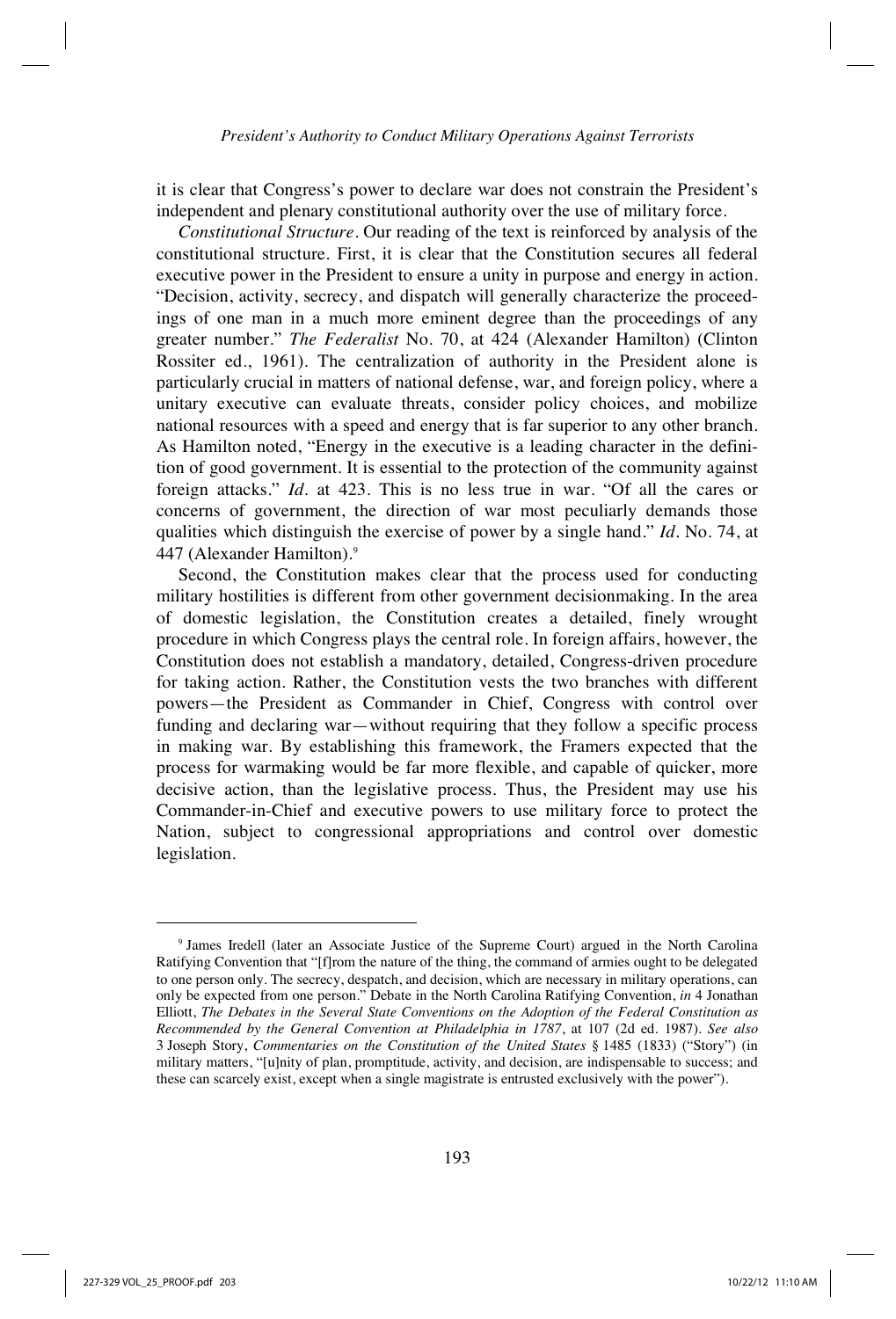it is clear that Congress's power to declare war does not constrain the President's independent and plenary constitutional authority over the use of military force.

*Constitutional Structure.* Our reading of the text is reinforced by analysis of the constitutional structure. First, it is clear that the Constitution secures all federal executive power in the President to ensure a unity in purpose and energy in action. "Decision, activity, secrecy, and dispatch will generally characterize the proceedings of one man in a much more eminent degree than the proceedings of any greater number." *The Federalist* No. 70, at 424 (Alexander Hamilton) (Clinton Rossiter ed., 1961). The centralization of authority in the President alone is particularly crucial in matters of national defense, war, and foreign policy, where a unitary executive can evaluate threats, consider policy choices, and mobilize national resources with a speed and energy that is far superior to any other branch. As Hamilton noted, "Energy in the executive is a leading character in the definition of good government. It is essential to the protection of the community against foreign attacks." *Id.* at 423. This is no less true in war. "Of all the cares or concerns of government, the direction of war most peculiarly demands those qualities which distinguish the exercise of power by a single hand." *Id.* No. 74, at 447 (Alexander Hamilton).<sup>9</sup>

Second, the Constitution makes clear that the process used for conducting military hostilities is different from other government decisionmaking. In the area of domestic legislation, the Constitution creates a detailed, finely wrought procedure in which Congress plays the central role. In foreign affairs, however, the Constitution does not establish a mandatory, detailed, Congress-driven procedure for taking action. Rather, the Constitution vests the two branches with different powers—the President as Commander in Chief, Congress with control over funding and declaring war—without requiring that they follow a specific process in making war. By establishing this framework, the Framers expected that the process for warmaking would be far more flexible, and capable of quicker, more decisive action, than the legislative process. Thus, the President may use his Commander-in-Chief and executive powers to use military force to protect the Nation, subject to congressional appropriations and control over domestic legislation.

<sup>9</sup> James Iredell (later an Associate Justice of the Supreme Court) argued in the North Carolina Ratifying Convention that "[f]rom the nature of the thing, the command of armies ought to be delegated to one person only. The secrecy, despatch, and decision, which are necessary in military operations, can only be expected from one person." Debate in the North Carolina Ratifying Convention, *in* 4 Jonathan Elliott, *The Debates in the Several State Conventions on the Adoption of the Federal Constitution as Recommended by the General Convention at Philadelphia in 1787*, at 107 (2d ed. 1987). *See also* 3 Joseph Story, *Commentaries on the Constitution of the United States* § 1485 (1833) ("Story") (in military matters, "[u]nity of plan, promptitude, activity, and decision, are indispensable to success; and these can scarcely exist, except when a single magistrate is entrusted exclusively with the power").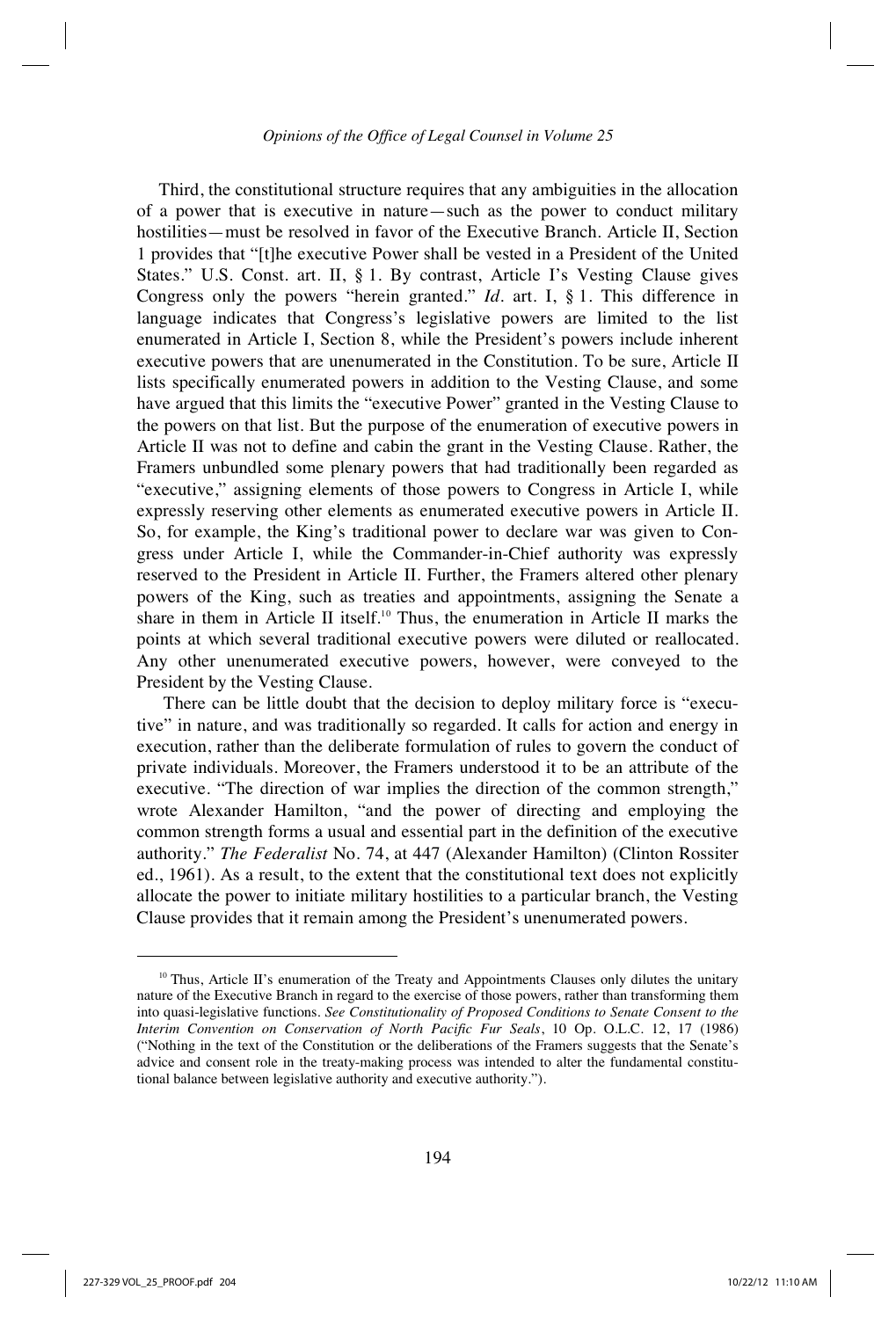Third, the constitutional structure requires that any ambiguities in the allocation of a power that is executive in nature—such as the power to conduct military hostilities—must be resolved in favor of the Executive Branch. Article II, Section 1 provides that "[t]he executive Power shall be vested in a President of the United States." U.S. Const. art. II, § 1. By contrast, Article I's Vesting Clause gives Congress only the powers "herein granted." *Id.* art. I, § 1. This difference in language indicates that Congress's legislative powers are limited to the list enumerated in Article I, Section 8, while the President's powers include inherent executive powers that are unenumerated in the Constitution. To be sure, Article II lists specifically enumerated powers in addition to the Vesting Clause, and some have argued that this limits the "executive Power" granted in the Vesting Clause to the powers on that list. But the purpose of the enumeration of executive powers in Article II was not to define and cabin the grant in the Vesting Clause. Rather, the Framers unbundled some plenary powers that had traditionally been regarded as "executive," assigning elements of those powers to Congress in Article I, while expressly reserving other elements as enumerated executive powers in Article II. So, for example, the King's traditional power to declare war was given to Congress under Article I, while the Commander-in-Chief authority was expressly reserved to the President in Article II. Further, the Framers altered other plenary powers of the King, such as treaties and appointments, assigning the Senate a share in them in Article II itself.<sup>10</sup> Thus, the enumeration in Article II marks the points at which several traditional executive powers were diluted or reallocated. Any other unenumerated executive powers, however, were conveyed to the President by the Vesting Clause.

There can be little doubt that the decision to deploy military force is "executive" in nature, and was traditionally so regarded. It calls for action and energy in execution, rather than the deliberate formulation of rules to govern the conduct of private individuals. Moreover, the Framers understood it to be an attribute of the executive. "The direction of war implies the direction of the common strength," wrote Alexander Hamilton, "and the power of directing and employing the common strength forms a usual and essential part in the definition of the executive authority." *The Federalist* No. 74, at 447 (Alexander Hamilton) (Clinton Rossiter ed., 1961). As a result, to the extent that the constitutional text does not explicitly allocate the power to initiate military hostilities to a particular branch, the Vesting Clause provides that it remain among the President's unenumerated powers.

 $10$  Thus, Article II's enumeration of the Treaty and Appointments Clauses only dilutes the unitary nature of the Executive Branch in regard to the exercise of those powers, rather than transforming them into quasi-legislative functions. *See Constitutionality of Proposed Conditions to Senate Consent to the Interim Convention on Conservation of North Pacific Fur Seals*, 10 Op. O.L.C. 12, 17 (1986) ("Nothing in the text of the Constitution or the deliberations of the Framers suggests that the Senate's advice and consent role in the treaty-making process was intended to alter the fundamental constitutional balance between legislative authority and executive authority.").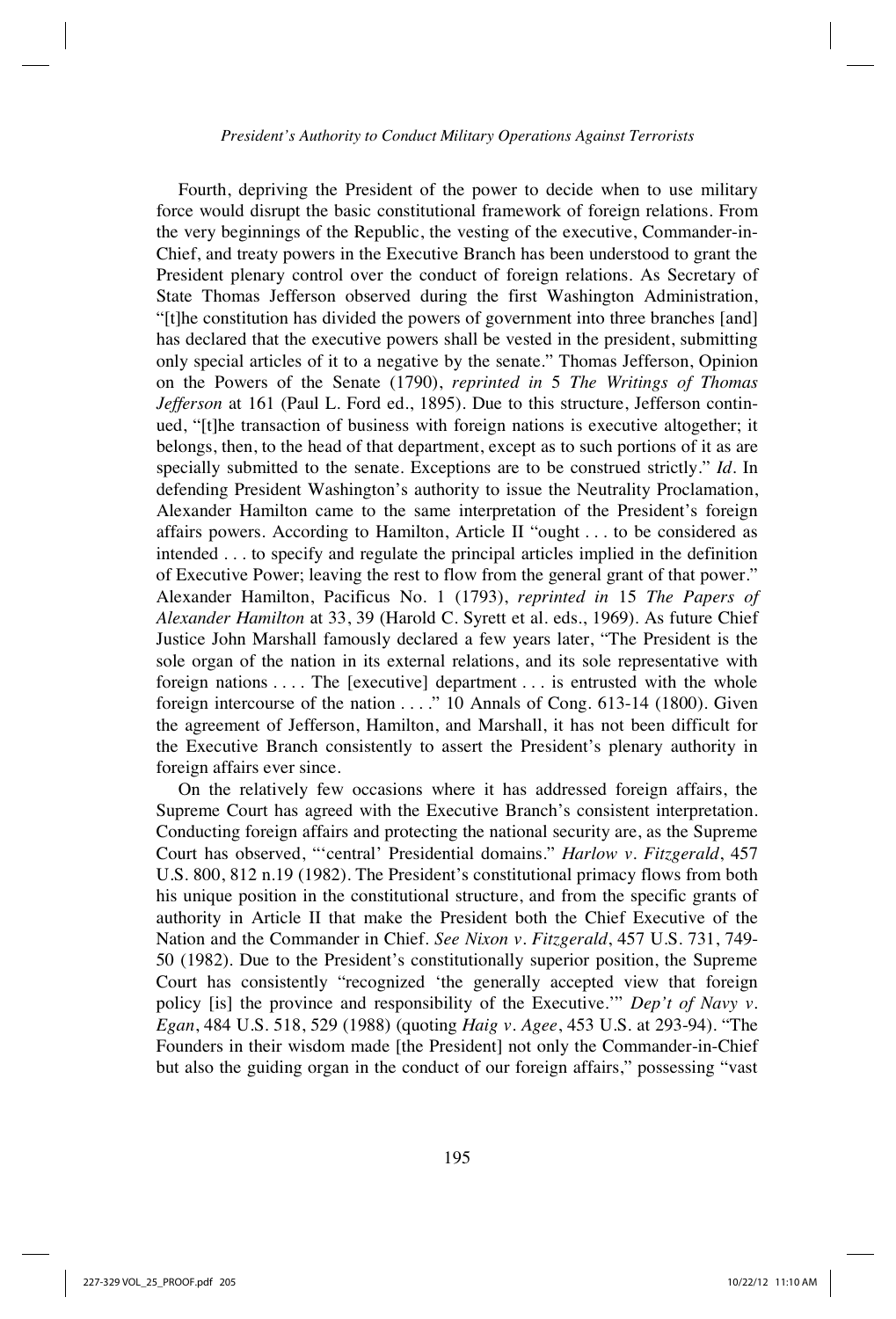Fourth, depriving the President of the power to decide when to use military force would disrupt the basic constitutional framework of foreign relations. From the very beginnings of the Republic, the vesting of the executive, Commander-in-Chief, and treaty powers in the Executive Branch has been understood to grant the President plenary control over the conduct of foreign relations. As Secretary of State Thomas Jefferson observed during the first Washington Administration, "[t]he constitution has divided the powers of government into three branches [and] has declared that the executive powers shall be vested in the president, submitting only special articles of it to a negative by the senate." Thomas Jefferson, Opinion on the Powers of the Senate (1790), *reprinted in* 5 *The Writings of Thomas Jefferson* at 161 (Paul L. Ford ed., 1895). Due to this structure, Jefferson continued, "[t]he transaction of business with foreign nations is executive altogether; it belongs, then, to the head of that department, except as to such portions of it as are specially submitted to the senate. Exceptions are to be construed strictly." *Id.* In defending President Washington's authority to issue the Neutrality Proclamation, Alexander Hamilton came to the same interpretation of the President's foreign affairs powers. According to Hamilton, Article II "ought . . . to be considered as intended . . . to specify and regulate the principal articles implied in the definition of Executive Power; leaving the rest to flow from the general grant of that power." Alexander Hamilton, Pacificus No. 1 (1793), *reprinted in* 15 *The Papers of Alexander Hamilton* at 33, 39 (Harold C. Syrett et al. eds., 1969). As future Chief Justice John Marshall famously declared a few years later, "The President is the sole organ of the nation in its external relations, and its sole representative with foreign nations . . . . The [executive] department . . . is entrusted with the whole foreign intercourse of the nation . . . ." 10 Annals of Cong. 613-14 (1800). Given the agreement of Jefferson, Hamilton, and Marshall, it has not been difficult for the Executive Branch consistently to assert the President's plenary authority in foreign affairs ever since.

On the relatively few occasions where it has addressed foreign affairs, the Supreme Court has agreed with the Executive Branch's consistent interpretation. Conducting foreign affairs and protecting the national security are, as the Supreme Court has observed, "'central' Presidential domains." *Harlow v. Fitzgerald*, 457 U.S. 800, 812 n.19 (1982). The President's constitutional primacy flows from both his unique position in the constitutional structure, and from the specific grants of authority in Article II that make the President both the Chief Executive of the Nation and the Commander in Chief. *See Nixon v. Fitzgerald*, 457 U.S. 731, 749- 50 (1982). Due to the President's constitutionally superior position, the Supreme Court has consistently "recognized 'the generally accepted view that foreign policy [is] the province and responsibility of the Executive.'" *Dep't of Navy v. Egan*, 484 U.S. 518, 529 (1988) (quoting *Haig v. Agee*, 453 U.S. at 293-94). "The Founders in their wisdom made [the President] not only the Commander-in-Chief but also the guiding organ in the conduct of our foreign affairs," possessing "vast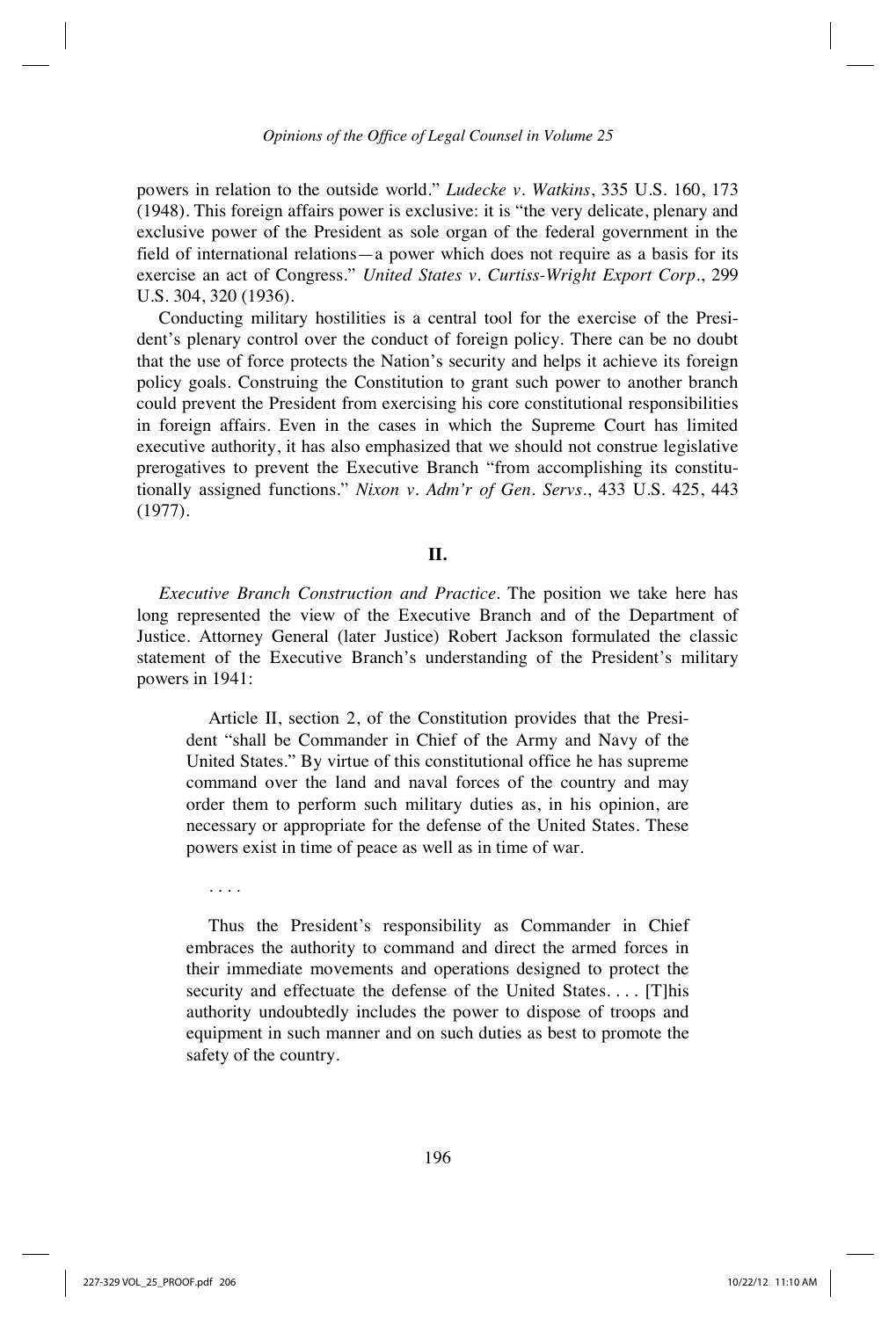powers in relation to the outside world." *Ludecke v. Watkins*, 335 U.S. 160, 173 (1948). This foreign affairs power is exclusive: it is "the very delicate, plenary and exclusive power of the President as sole organ of the federal government in the field of international relations—a power which does not require as a basis for its exercise an act of Congress." *United States v. Curtiss-Wright Export Corp.*, 299 U.S. 304, 320 (1936).

Conducting military hostilities is a central tool for the exercise of the President's plenary control over the conduct of foreign policy. There can be no doubt that the use of force protects the Nation's security and helps it achieve its foreign policy goals. Construing the Constitution to grant such power to another branch could prevent the President from exercising his core constitutional responsibilities in foreign affairs. Even in the cases in which the Supreme Court has limited executive authority, it has also emphasized that we should not construe legislative prerogatives to prevent the Executive Branch "from accomplishing its constitutionally assigned functions." *Nixon v. Adm'r of Gen. Servs.*, 433 U.S. 425, 443 (1977).

## **II.**

*Executive Branch Construction and Practice*. The position we take here has long represented the view of the Executive Branch and of the Department of Justice. Attorney General (later Justice) Robert Jackson formulated the classic statement of the Executive Branch's understanding of the President's military powers in 1941:

Article II, section 2, of the Constitution provides that the President "shall be Commander in Chief of the Army and Navy of the United States." By virtue of this constitutional office he has supreme command over the land and naval forces of the country and may order them to perform such military duties as, in his opinion, are necessary or appropriate for the defense of the United States. These powers exist in time of peace as well as in time of war.

....

Thus the President's responsibility as Commander in Chief embraces the authority to command and direct the armed forces in their immediate movements and operations designed to protect the security and effectuate the defense of the United States.... [T]his authority undoubtedly includes the power to dispose of troops and equipment in such manner and on such duties as best to promote the safety of the country.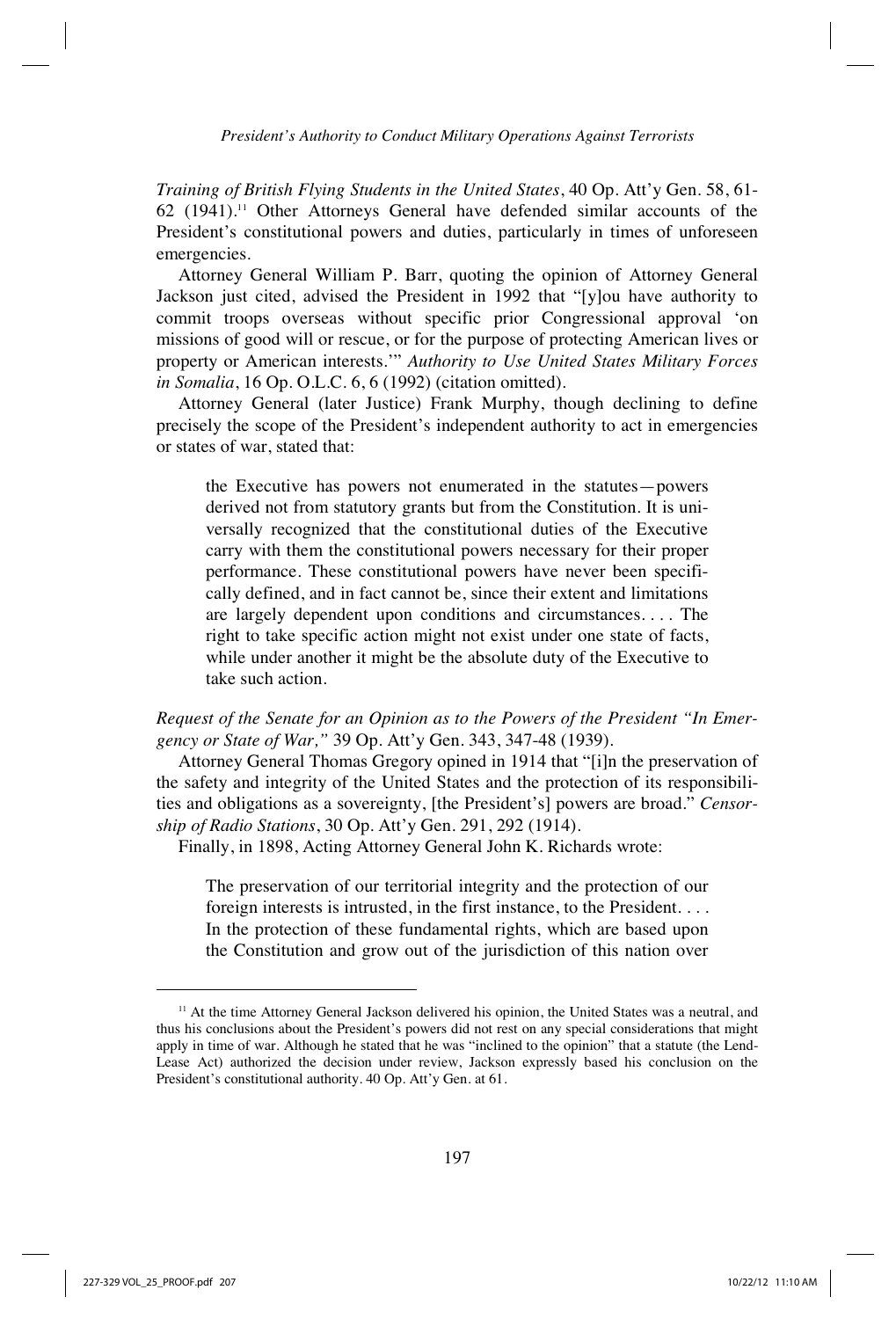*Training of British Flying Students in the United States*, 40 Op. Att'y Gen. 58, 61- 62 (1941).<sup>11</sup> Other Attorneys General have defended similar accounts of the President's constitutional powers and duties, particularly in times of unforeseen emergencies.

Attorney General William P. Barr, quoting the opinion of Attorney General Jackson just cited, advised the President in 1992 that "[y]ou have authority to commit troops overseas without specific prior Congressional approval 'on missions of good will or rescue, or for the purpose of protecting American lives or property or American interests.'" *Authority to Use United States Military Forces in Somalia*, 16 Op. O.L.C. 6, 6 (1992) (citation omitted).

Attorney General (later Justice) Frank Murphy, though declining to define precisely the scope of the President's independent authority to act in emergencies or states of war, stated that:

the Executive has powers not enumerated in the statutes—powers derived not from statutory grants but from the Constitution. It is universally recognized that the constitutional duties of the Executive carry with them the constitutional powers necessary for their proper performance. These constitutional powers have never been specifically defined, and in fact cannot be, since their extent and limitations are largely dependent upon conditions and circumstances. . . . The right to take specific action might not exist under one state of facts, while under another it might be the absolute duty of the Executive to take such action.

*Request of the Senate for an Opinion as to the Powers of the President "In Emergency or State of War,"* 39 Op. Att'y Gen. 343, 347-48 (1939).

Attorney General Thomas Gregory opined in 1914 that "[i]n the preservation of the safety and integrity of the United States and the protection of its responsibilities and obligations as a sovereignty, [the President's] powers are broad." *Censorship of Radio Stations*, 30 Op. Att'y Gen. 291, 292 (1914).

Finally, in 1898, Acting Attorney General John K. Richards wrote:

The preservation of our territorial integrity and the protection of our foreign interests is intrusted, in the first instance, to the President. . . . In the protection of these fundamental rights, which are based upon the Constitution and grow out of the jurisdiction of this nation over

<sup>&</sup>lt;sup>11</sup> At the time Attorney General Jackson delivered his opinion, the United States was a neutral, and thus his conclusions about the President's powers did not rest on any special considerations that might apply in time of war. Although he stated that he was "inclined to the opinion" that a statute (the Lend-Lease Act) authorized the decision under review, Jackson expressly based his conclusion on the President's constitutional authority. 40 Op. Att'y Gen*.* at 61.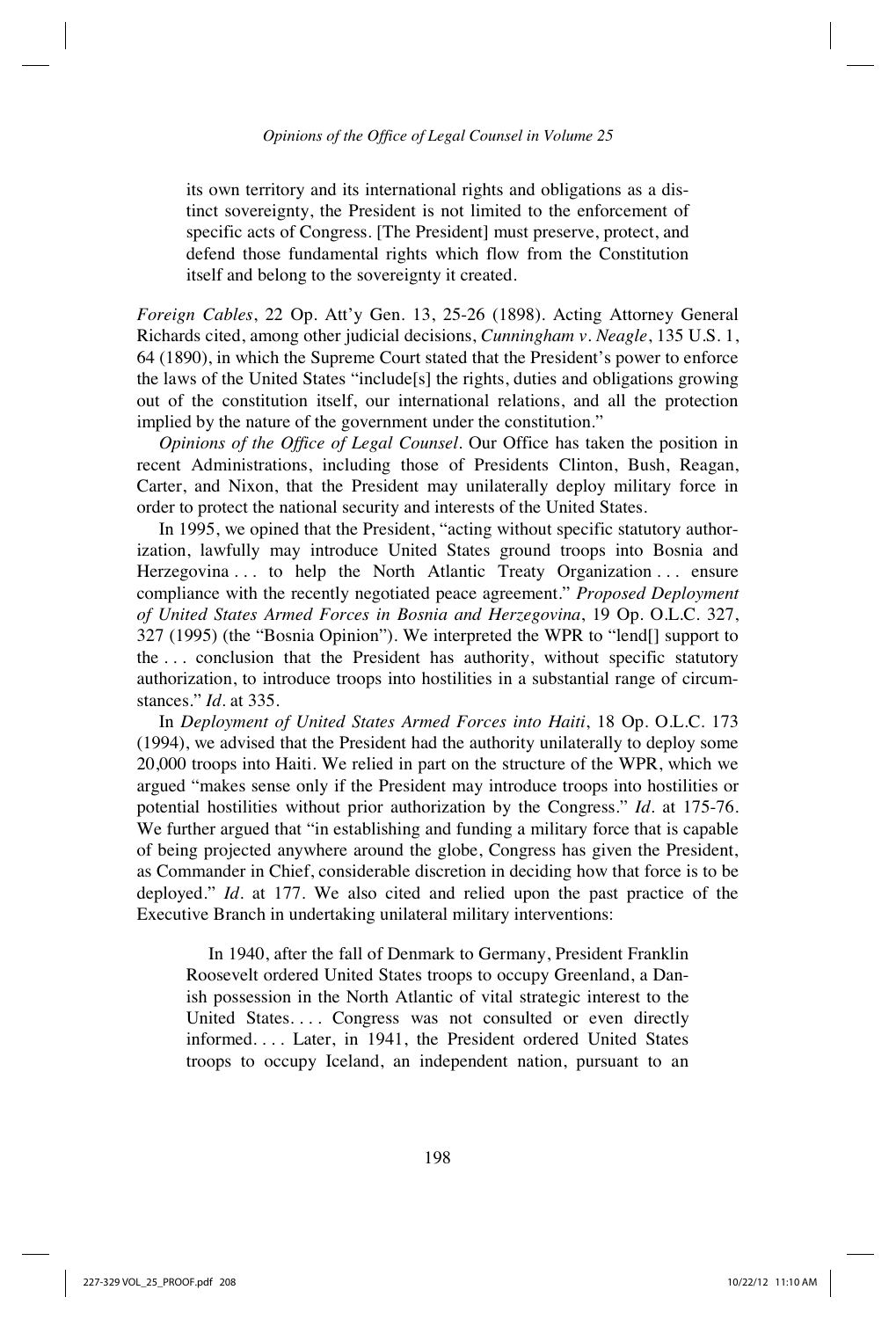its own territory and its international rights and obligations as a distinct sovereignty, the President is not limited to the enforcement of specific acts of Congress. [The President] must preserve, protect, and defend those fundamental rights which flow from the Constitution itself and belong to the sovereignty it created.

*Foreign Cables*, 22 Op. Att'y Gen. 13, 25-26 (1898). Acting Attorney General Richards cited, among other judicial decisions, *Cunningham v. Neagle*, 135 U.S. 1, 64 (1890), in which the Supreme Court stated that the President's power to enforce the laws of the United States "include[s] the rights, duties and obligations growing out of the constitution itself, our international relations, and all the protection implied by the nature of the government under the constitution."

*Opinions of the Office of Legal Counsel*. Our Office has taken the position in recent Administrations, including those of Presidents Clinton, Bush, Reagan, Carter, and Nixon, that the President may unilaterally deploy military force in order to protect the national security and interests of the United States.

In 1995, we opined that the President, "acting without specific statutory authorization, lawfully may introduce United States ground troops into Bosnia and Herzegovina . . . to help the North Atlantic Treaty Organization . . . ensure compliance with the recently negotiated peace agreement." *Proposed Deployment of United States Armed Forces in Bosnia and Herzegovina*, 19 Op. O.L.C. 327, 327 (1995) (the "Bosnia Opinion"). We interpreted the WPR to "lend[] support to the . . . conclusion that the President has authority, without specific statutory authorization, to introduce troops into hostilities in a substantial range of circumstances." *Id.* at 335.

In *Deployment of United States Armed Forces into Haiti*, 18 Op. O.L.C. 173 (1994), we advised that the President had the authority unilaterally to deploy some 20,000 troops into Haiti. We relied in part on the structure of the WPR, which we argued "makes sense only if the President may introduce troops into hostilities or potential hostilities without prior authorization by the Congress." *Id.* at 175-76. We further argued that "in establishing and funding a military force that is capable of being projected anywhere around the globe, Congress has given the President, as Commander in Chief, considerable discretion in deciding how that force is to be deployed." *Id.* at 177. We also cited and relied upon the past practice of the Executive Branch in undertaking unilateral military interventions:

In 1940, after the fall of Denmark to Germany, President Franklin Roosevelt ordered United States troops to occupy Greenland, a Danish possession in the North Atlantic of vital strategic interest to the United States.... Congress was not consulted or even directly informed. . . . Later, in 1941, the President ordered United States troops to occupy Iceland, an independent nation, pursuant to an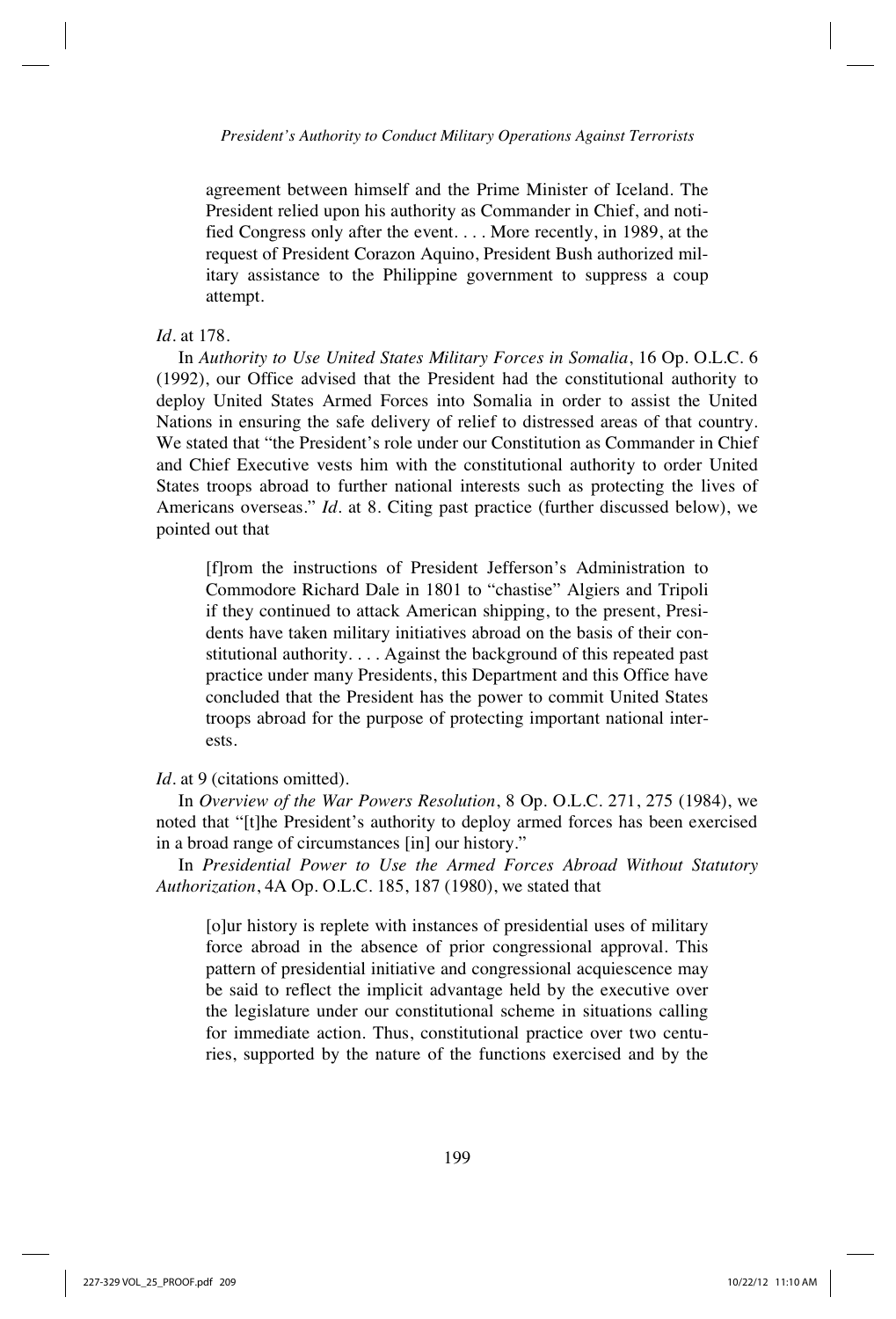agreement between himself and the Prime Minister of Iceland. The President relied upon his authority as Commander in Chief, and notified Congress only after the event.... More recently, in 1989, at the request of President Corazon Aquino, President Bush authorized military assistance to the Philippine government to suppress a coup attempt.

# *Id.* at 178.

In *Authority to Use United States Military Forces in Somalia*, 16 Op. O.L.C. 6 (1992), our Office advised that the President had the constitutional authority to deploy United States Armed Forces into Somalia in order to assist the United Nations in ensuring the safe delivery of relief to distressed areas of that country. We stated that "the President's role under our Constitution as Commander in Chief and Chief Executive vests him with the constitutional authority to order United States troops abroad to further national interests such as protecting the lives of Americans overseas." *Id.* at 8. Citing past practice (further discussed below), we pointed out that

[f]rom the instructions of President Jefferson's Administration to Commodore Richard Dale in 1801 to "chastise" Algiers and Tripoli if they continued to attack American shipping, to the present, Presidents have taken military initiatives abroad on the basis of their constitutional authority. . . . Against the background of this repeated past practice under many Presidents, this Department and this Office have concluded that the President has the power to commit United States troops abroad for the purpose of protecting important national interests.

*Id.* at 9 (citations omitted).

In *Overview of the War Powers Resolution*, 8 Op. O.L.C. 271, 275 (1984), we noted that "[t]he President's authority to deploy armed forces has been exercised in a broad range of circumstances [in] our history."

In *Presidential Power to Use the Armed Forces Abroad Without Statutory Authorization*, 4A Op. O.L.C. 185, 187 (1980), we stated that

[o]ur history is replete with instances of presidential uses of military force abroad in the absence of prior congressional approval. This pattern of presidential initiative and congressional acquiescence may be said to reflect the implicit advantage held by the executive over the legislature under our constitutional scheme in situations calling for immediate action. Thus, constitutional practice over two centuries, supported by the nature of the functions exercised and by the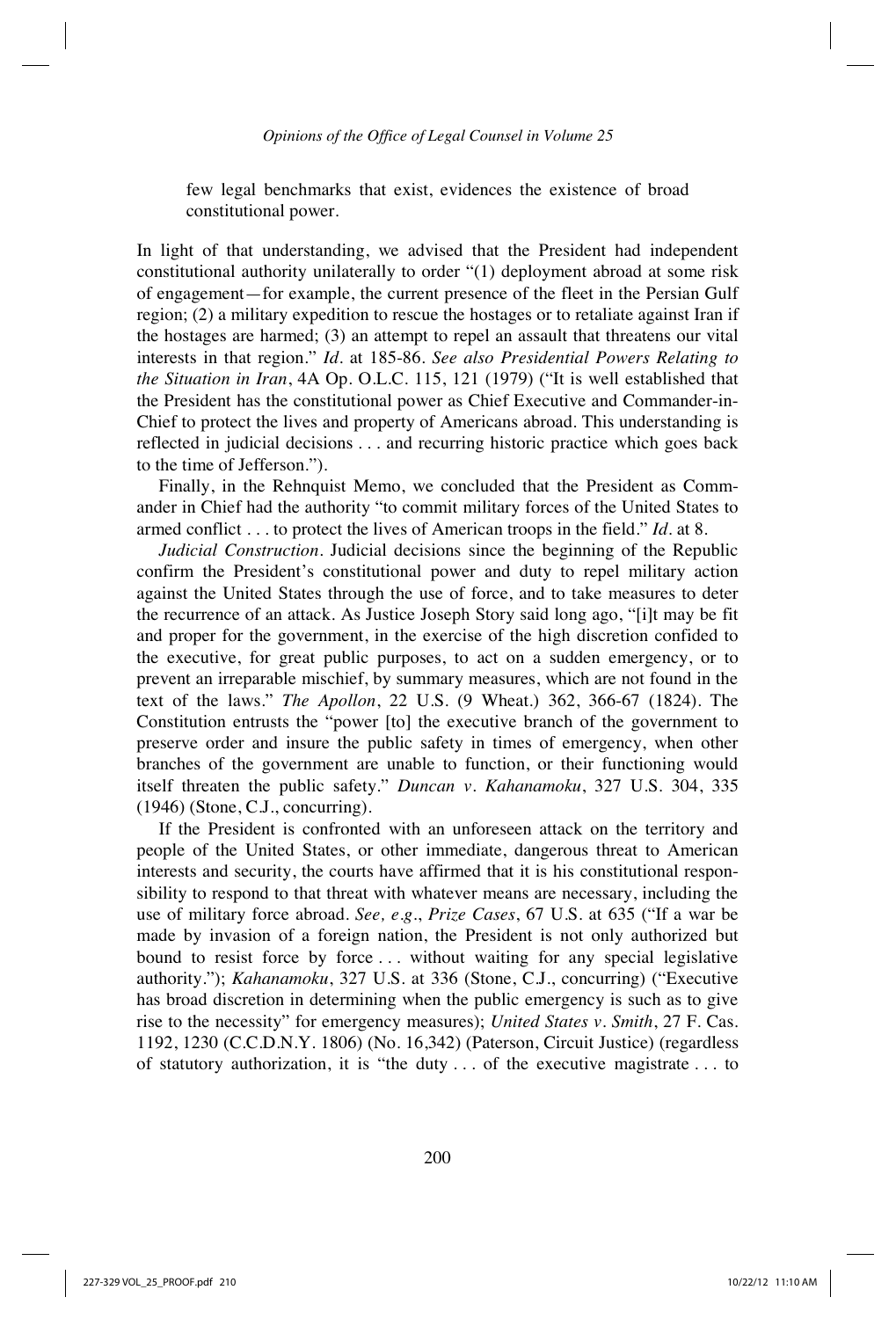few legal benchmarks that exist, evidences the existence of broad constitutional power.

In light of that understanding, we advised that the President had independent constitutional authority unilaterally to order "(1) deployment abroad at some risk of engagement—for example, the current presence of the fleet in the Persian Gulf region; (2) a military expedition to rescue the hostages or to retaliate against Iran if the hostages are harmed; (3) an attempt to repel an assault that threatens our vital interests in that region." *Id.* at 185-86. *See also Presidential Powers Relating to the Situation in Iran*, 4A Op. O.L.C. 115, 121 (1979) ("It is well established that the President has the constitutional power as Chief Executive and Commander-in-Chief to protect the lives and property of Americans abroad. This understanding is reflected in judicial decisions . . . and recurring historic practice which goes back to the time of Jefferson.").

Finally, in the Rehnquist Memo, we concluded that the President as Commander in Chief had the authority "to commit military forces of the United States to armed conflict . . . to protect the lives of American troops in the field." *Id.* at 8.

*Judicial Construction.* Judicial decisions since the beginning of the Republic confirm the President's constitutional power and duty to repel military action against the United States through the use of force, and to take measures to deter the recurrence of an attack. As Justice Joseph Story said long ago, "[i]t may be fit and proper for the government, in the exercise of the high discretion confided to the executive, for great public purposes, to act on a sudden emergency, or to prevent an irreparable mischief, by summary measures, which are not found in the text of the laws." *The Apollon*, 22 U.S. (9 Wheat.) 362, 366-67 (1824). The Constitution entrusts the "power [to] the executive branch of the government to preserve order and insure the public safety in times of emergency, when other branches of the government are unable to function, or their functioning would itself threaten the public safety." *Duncan v. Kahanamoku*, 327 U.S. 304, 335 (1946) (Stone, C.J., concurring).

If the President is confronted with an unforeseen attack on the territory and people of the United States, or other immediate, dangerous threat to American interests and security, the courts have affirmed that it is his constitutional responsibility to respond to that threat with whatever means are necessary, including the use of military force abroad. *See, e.g.*, *Prize Cases*, 67 U.S. at 635 ("If a war be made by invasion of a foreign nation, the President is not only authorized but bound to resist force by force . . . without waiting for any special legislative authority."); *Kahanamoku*, 327 U.S. at 336 (Stone, C.J., concurring) ("Executive has broad discretion in determining when the public emergency is such as to give rise to the necessity" for emergency measures); *United States v. Smith*, 27 F. Cas. 1192, 1230 (C.C.D.N.Y. 1806) (No. 16,342) (Paterson, Circuit Justice) (regardless of statutory authorization, it is "the duty . . . of the executive magistrate . . . to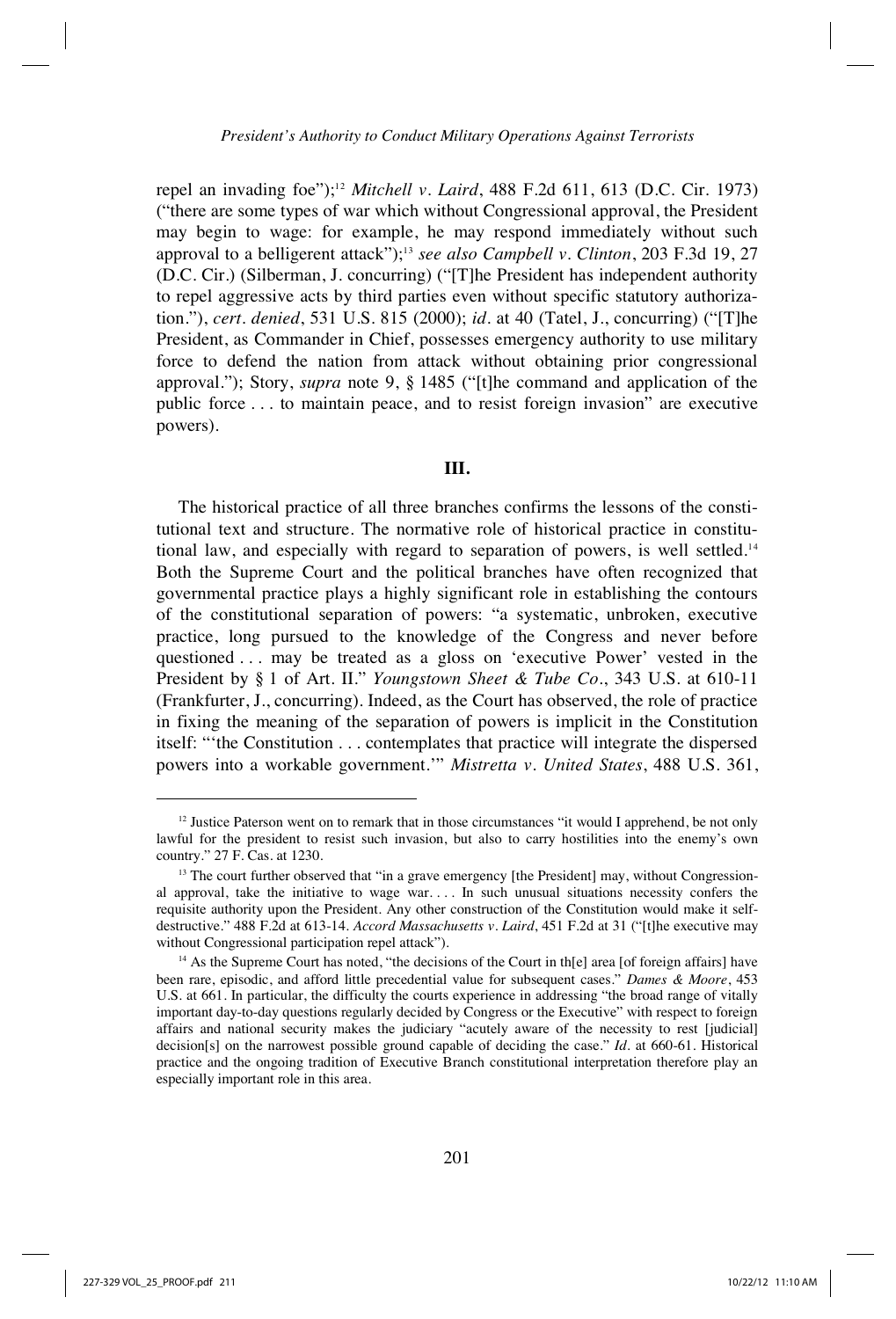repel an invading foe");12 *Mitchell v. Laird*, 488 F.2d 611, 613 (D.C. Cir. 1973) ("there are some types of war which without Congressional approval, the President may begin to wage: for example, he may respond immediately without such approval to a belligerent attack");<sup>13</sup> see also Campbell v. Clinton, 203 F.3d 19, 27 (D.C. Cir.) (Silberman, J. concurring) ("[T]he President has independent authority to repel aggressive acts by third parties even without specific statutory authorization."), *cert. denied*, 531 U.S. 815 (2000); *id.* at 40 (Tatel, J., concurring) ("[T]he President, as Commander in Chief, possesses emergency authority to use military force to defend the nation from attack without obtaining prior congressional approval."); Story, *supra* note 9, § 1485 ("[t]he command and application of the public force . . . to maintain peace, and to resist foreign invasion" are executive powers).

## **III.**

The historical practice of all three branches confirms the lessons of the constitutional text and structure. The normative role of historical practice in constitutional law, and especially with regard to separation of powers, is well settled.<sup>14</sup> Both the Supreme Court and the political branches have often recognized that governmental practice plays a highly significant role in establishing the contours of the constitutional separation of powers: "a systematic, unbroken, executive practice, long pursued to the knowledge of the Congress and never before questioned . . . may be treated as a gloss on 'executive Power' vested in the President by § 1 of Art. II." *Youngstown Sheet & Tube Co.*, 343 U.S. at 610-11 (Frankfurter, J., concurring). Indeed, as the Court has observed, the role of practice in fixing the meaning of the separation of powers is implicit in the Constitution itself: "'the Constitution . . . contemplates that practice will integrate the dispersed powers into a workable government.'" *Mistretta v. United States*, 488 U.S. 361,

 $12$  Justice Paterson went on to remark that in those circumstances "it would I apprehend, be not only lawful for the president to resist such invasion, but also to carry hostilities into the enemy's own country." 27 F. Cas*.* at 1230.

<sup>&</sup>lt;sup>13</sup> The court further observed that "in a grave emergency [the President] may, without Congressional approval, take the initiative to wage war. . . . In such unusual situations necessity confers the requisite authority upon the President. Any other construction of the Constitution would make it selfdestructive." 488 F.2d at 613-14. *Accord Massachusetts v. Laird*, 451 F.2d at 31 ("[t]he executive may without Congressional participation repel attack").

<sup>&</sup>lt;sup>14</sup> As the Supreme Court has noted, "the decisions of the Court in th[e] area [of foreign affairs] have been rare, episodic, and afford little precedential value for subsequent cases." *Dames & Moore*, 453 U.S. at 661. In particular, the difficulty the courts experience in addressing "the broad range of vitally important day-to-day questions regularly decided by Congress or the Executive" with respect to foreign affairs and national security makes the judiciary "acutely aware of the necessity to rest [judicial] decision[s] on the narrowest possible ground capable of deciding the case." *Id.* at 660-61. Historical practice and the ongoing tradition of Executive Branch constitutional interpretation therefore play an especially important role in this area.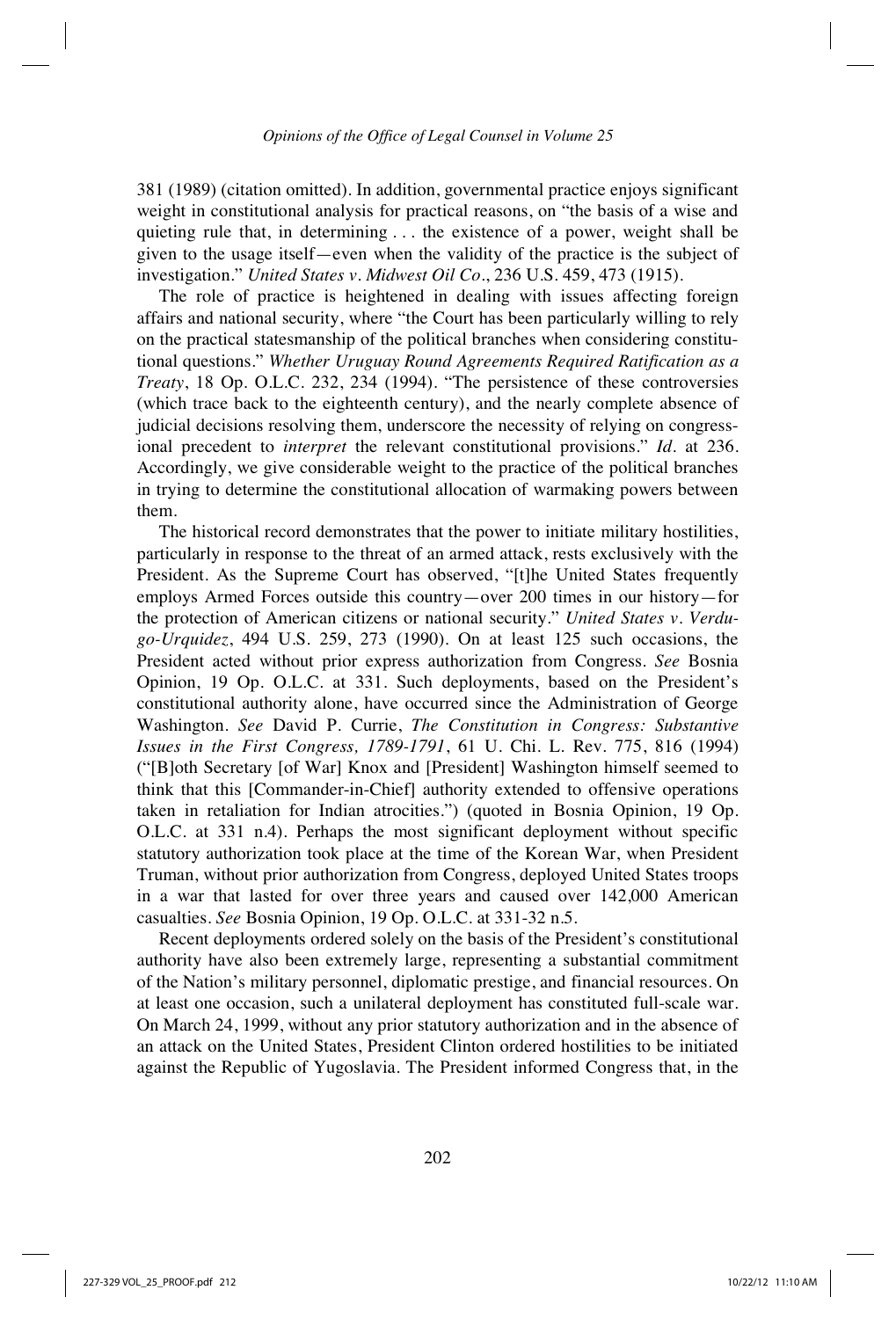381 (1989) (citation omitted). In addition, governmental practice enjoys significant weight in constitutional analysis for practical reasons, on "the basis of a wise and quieting rule that, in determining . . . the existence of a power, weight shall be given to the usage itself—even when the validity of the practice is the subject of investigation." *United States v. Midwest Oil Co.*, 236 U.S. 459, 473 (1915).

The role of practice is heightened in dealing with issues affecting foreign affairs and national security, where "the Court has been particularly willing to rely on the practical statesmanship of the political branches when considering constitutional questions." *Whether Uruguay Round Agreements Required Ratification as a Treaty*, 18 Op. O.L.C. 232, 234 (1994). "The persistence of these controversies (which trace back to the eighteenth century), and the nearly complete absence of judicial decisions resolving them, underscore the necessity of relying on congressional precedent to *interpret* the relevant constitutional provisions." *Id.* at 236. Accordingly, we give considerable weight to the practice of the political branches in trying to determine the constitutional allocation of warmaking powers between them.

The historical record demonstrates that the power to initiate military hostilities, particularly in response to the threat of an armed attack, rests exclusively with the President. As the Supreme Court has observed, "[t]he United States frequently employs Armed Forces outside this country—over 200 times in our history—for the protection of American citizens or national security." *United States v. Verdugo-Urquidez*, 494 U.S. 259, 273 (1990). On at least 125 such occasions, the President acted without prior express authorization from Congress. *See* Bosnia Opinion, 19 Op. O.L.C. at 331. Such deployments, based on the President's constitutional authority alone, have occurred since the Administration of George Washington. *See* David P. Currie, *The Constitution in Congress: Substantive Issues in the First Congress, 1789-1791*, 61 U. Chi. L. Rev. 775, 816 (1994) ("[B]oth Secretary [of War] Knox and [President] Washington himself seemed to think that this [Commander-in-Chief] authority extended to offensive operations taken in retaliation for Indian atrocities.") (quoted in Bosnia Opinion, 19 Op. O.L.C. at 331 n.4). Perhaps the most significant deployment without specific statutory authorization took place at the time of the Korean War, when President Truman, without prior authorization from Congress, deployed United States troops in a war that lasted for over three years and caused over 142,000 American casualties. *See* Bosnia Opinion, 19 Op. O.L.C. at 331-32 n.5.

Recent deployments ordered solely on the basis of the President's constitutional authority have also been extremely large, representing a substantial commitment of the Nation's military personnel, diplomatic prestige, and financial resources. On at least one occasion, such a unilateral deployment has constituted full-scale war. On March 24, 1999, without any prior statutory authorization and in the absence of an attack on the United States, President Clinton ordered hostilities to be initiated against the Republic of Yugoslavia. The President informed Congress that, in the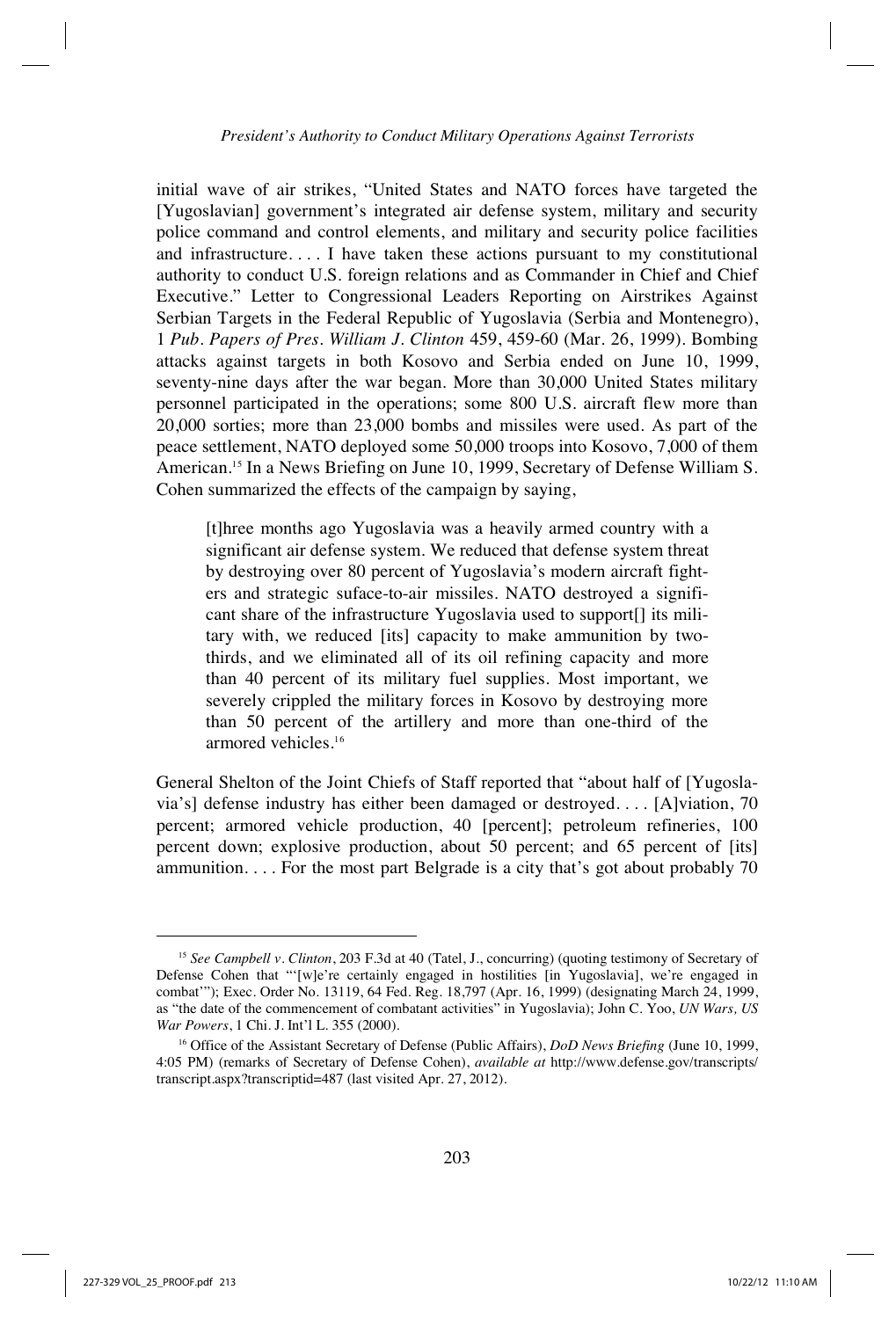initial wave of air strikes, "United States and NATO forces have targeted the [Yugoslavian] government's integrated air defense system, military and security police command and control elements, and military and security police facilities and infrastructure. . . . I have taken these actions pursuant to my constitutional authority to conduct U.S. foreign relations and as Commander in Chief and Chief Executive." Letter to Congressional Leaders Reporting on Airstrikes Against Serbian Targets in the Federal Republic of Yugoslavia (Serbia and Montenegro), 1 *Pub. Papers of Pres. William J. Clinton* 459, 459-60 (Mar. 26, 1999). Bombing attacks against targets in both Kosovo and Serbia ended on June 10, 1999, seventy-nine days after the war began. More than 30,000 United States military personnel participated in the operations; some 800 U.S. aircraft flew more than 20,000 sorties; more than 23,000 bombs and missiles were used. As part of the peace settlement, NATO deployed some 50,000 troops into Kosovo, 7,000 of them American.15 In a News Briefing on June 10, 1999, Secretary of Defense William S. Cohen summarized the effects of the campaign by saying,

[t]hree months ago Yugoslavia was a heavily armed country with a significant air defense system. We reduced that defense system threat by destroying over 80 percent of Yugoslavia's modern aircraft fighters and strategic suface-to-air missiles. NATO destroyed a significant share of the infrastructure Yugoslavia used to support[] its military with, we reduced [its] capacity to make ammunition by twothirds, and we eliminated all of its oil refining capacity and more than 40 percent of its military fuel supplies. Most important, we severely crippled the military forces in Kosovo by destroying more than 50 percent of the artillery and more than one-third of the armored vehicles.1 6

General Shelton of the Joint Chiefs of Staff reported that "about half of [Yugoslavia's] defense industry has either been damaged or destroyed. . . . [A]viation, 70 percent; armored vehicle production, 40 [percent]; petroleum refineries, 100 percent down; explosive production, about 50 percent; and 65 percent of [its] ammunition. . . . For the most part Belgrade is a city that's got about probably 70

<sup>&</sup>lt;sup>15</sup> See Campbell v. Clinton, 203 F.3d at 40 (Tatel, J., concurring) (quoting testimony of Secretary of Defense Cohen that "'[w]e're certainly engaged in hostilities [in Yugoslavia], we're engaged in combat'"); Exec. Order No. 13119, 64 Fed. Reg. 18,797 (Apr. 16, 1999) (designating March 24, 1999, as "the date of the commencement of combatant activities" in Yugoslavia); John C. Yoo, *UN Wars, US War Powers*, 1 Chi. J. Int'l L. 355 (2000).

<sup>16</sup> Office of the Assistant Secretary of Defense (Public Affairs), *DoD News Briefing* (June 10, 1999, 4:05 PM) (remarks of Secretary of Defense Cohen), *available at* http://www.defense.gov/transcripts/ transcript.aspx?transcriptid=487 (last visited Apr. 27, 2012).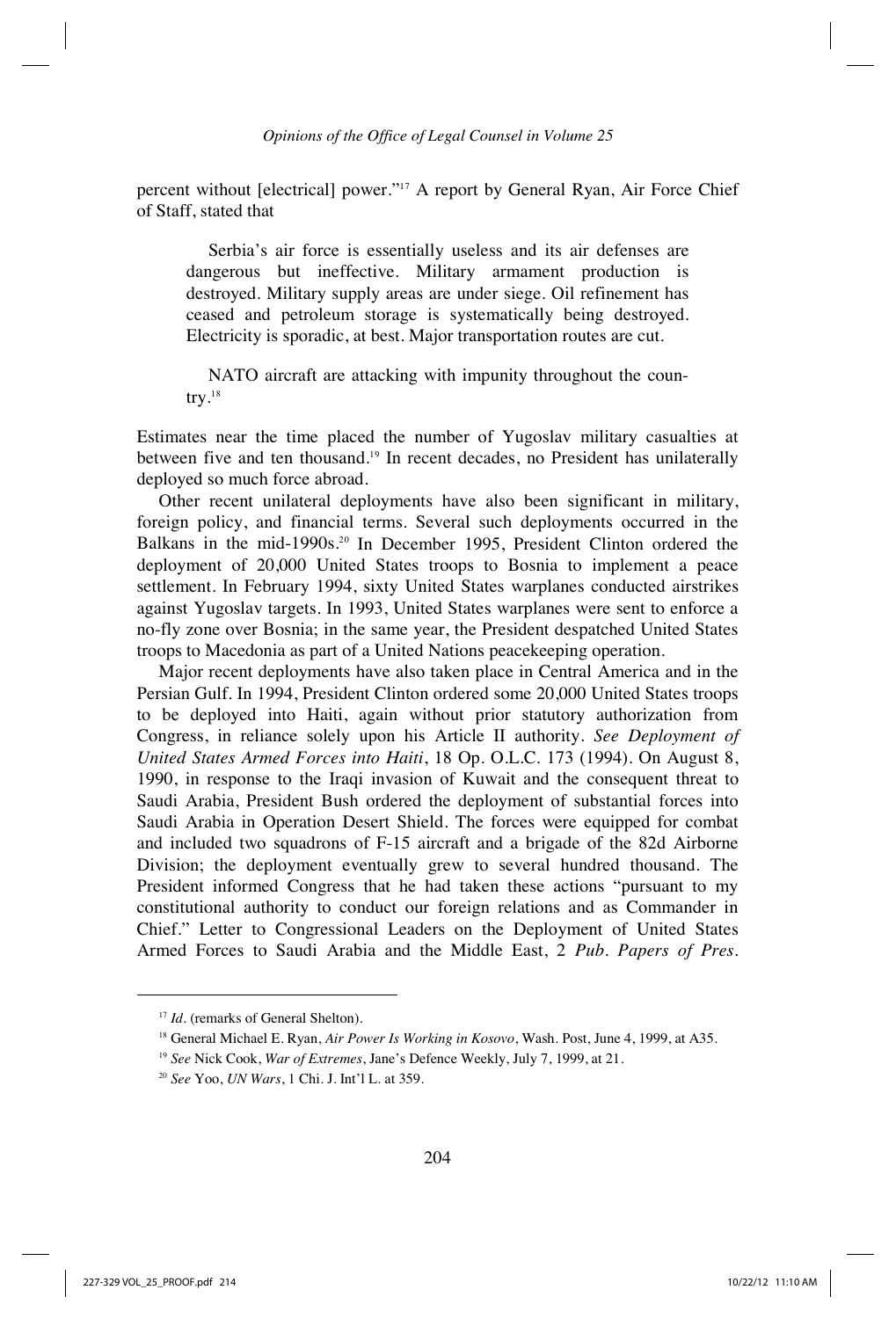percent without [electrical] power."17 A report by General Ryan, Air Force Chief of Staff, stated that

Serbia's air force is essentially useless and its air defenses are dangerous but ineffective. Military armament production is destroyed. Military supply areas are under siege. Oil refinement has ceased and petroleum storage is systematically being destroyed. Electricity is sporadic, at best. Major transportation routes are cut.

NATO aircraft are attacking with impunity throughout the country. $18$ 

Estimates near the time placed the number of Yugoslav military casualties at between five and ten thousand.<sup>19</sup> In recent decades, no President has unilaterally deployed so much force abroad.

Other recent unilateral deployments have also been significant in military, foreign policy, and financial terms. Several such deployments occurred in the Balkans in the mid-1990s.<sup>20</sup> In December 1995, President Clinton ordered the deployment of 20,000 United States troops to Bosnia to implement a peace settlement. In February 1994, sixty United States warplanes conducted airstrikes against Yugoslav targets. In 1993, United States warplanes were sent to enforce a no-fly zone over Bosnia; in the same year, the President despatched United States troops to Macedonia as part of a United Nations peacekeeping operation.

Major recent deployments have also taken place in Central America and in the Persian Gulf. In 1994, President Clinton ordered some 20,000 United States troops to be deployed into Haiti, again without prior statutory authorization from Congress, in reliance solely upon his Article II authority. *See Deployment of United States Armed Forces into Haiti*, 18 Op. O.L.C. 173 (1994)*.* On August 8, 1990, in response to the Iraqi invasion of Kuwait and the consequent threat to Saudi Arabia, President Bush ordered the deployment of substantial forces into Saudi Arabia in Operation Desert Shield. The forces were equipped for combat and included two squadrons of F-15 aircraft and a brigade of the 82d Airborne Division; the deployment eventually grew to several hundred thousand. The President informed Congress that he had taken these actions "pursuant to my constitutional authority to conduct our foreign relations and as Commander in Chief." Letter to Congressional Leaders on the Deployment of United States Armed Forces to Saudi Arabia and the Middle East, 2 *Pub. Papers of Pres.*

<sup>&</sup>lt;sup>17</sup> *Id.* (remarks of General Shelton).

<sup>18</sup> General Michael E. Ryan, *Air Power Is Working in Kosovo*, Wash. Post, June 4, 1999, at A35.

<sup>19</sup> *See* Nick Cook, *War of Extremes*, Jane's Defence Weekly, July 7, 1999, at 21.

<sup>20</sup> *See* Yoo, *UN Wars*, 1 Chi. J. Int'l L. at 359.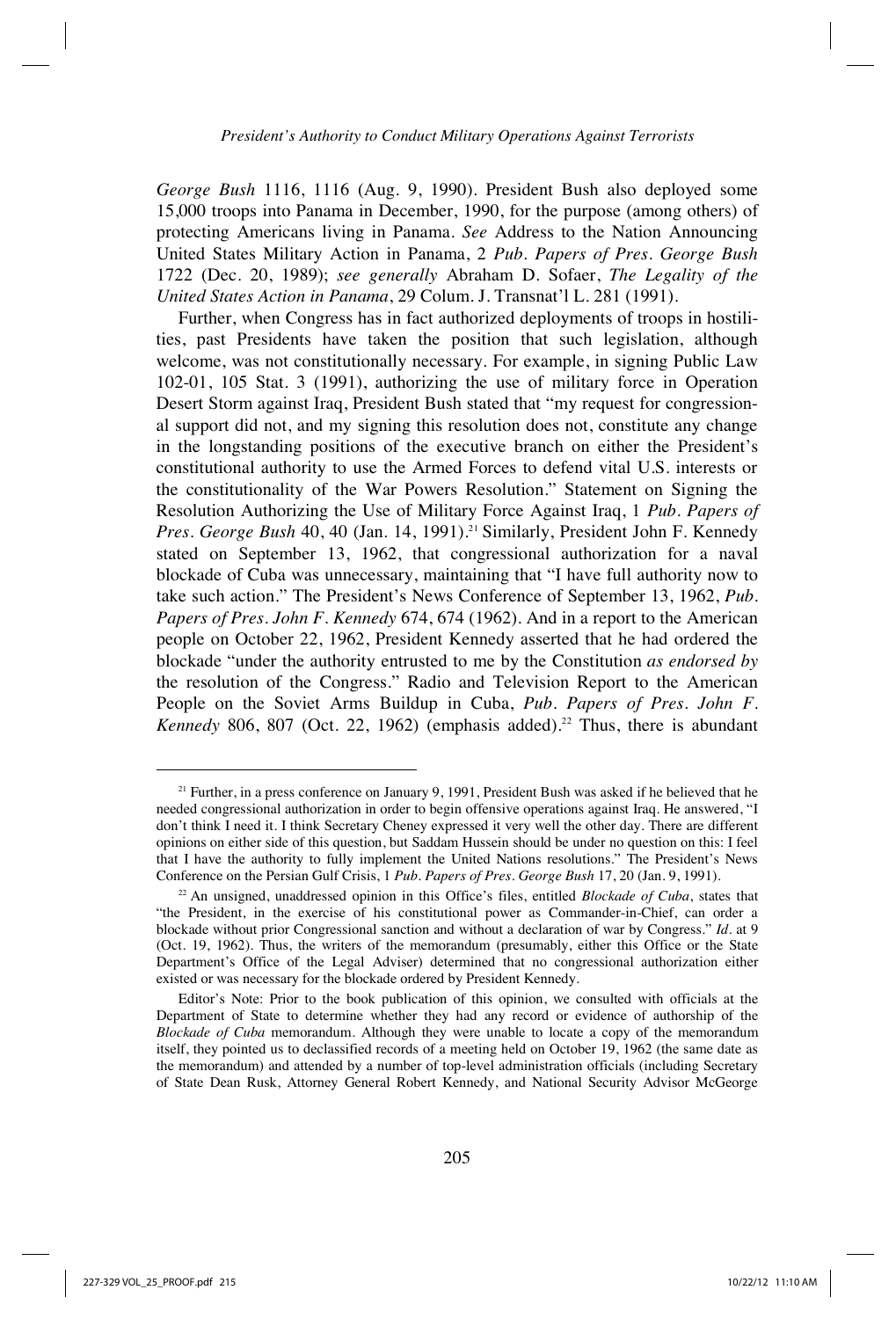*George Bush* 1116, 1116 (Aug. 9, 1990). President Bush also deployed some 15,000 troops into Panama in December, 1990, for the purpose (among others) of protecting Americans living in Panama. *See* Address to the Nation Announcing United States Military Action in Panama, 2 *Pub. Papers of Pres. George Bush* 1722 (Dec. 20, 1989); *see generally* Abraham D. Sofaer, *The Legality of the United States Action in Panama*, 29 Colum. J. Transnat'l L. 281 (1991).

Further, when Congress has in fact authorized deployments of troops in hostilities, past Presidents have taken the position that such legislation, although welcome, was not constitutionally necessary. For example, in signing Public Law 102-01, 105 Stat. 3 (1991), authorizing the use of military force in Operation Desert Storm against Iraq, President Bush stated that "my request for congressional support did not, and my signing this resolution does not, constitute any change in the longstanding positions of the executive branch on either the President's constitutional authority to use the Armed Forces to defend vital U.S. interests or the constitutionality of the War Powers Resolution." Statement on Signing the Resolution Authorizing the Use of Military Force Against Iraq, 1 *Pub. Papers of*  Pres. George Bush 40, 40 (Jan. 14, 1991).<sup>21</sup> Similarly, President John F. Kennedy stated on September 13, 1962, that congressional authorization for a naval blockade of Cuba was unnecessary, maintaining that "I have full authority now to take such action." The President's News Conference of September 13, 1962, *Pub. Papers of Pres. John F. Kennedy* 674, 674 (1962). And in a report to the American people on October 22, 1962, President Kennedy asserted that he had ordered the blockade "under the authority entrusted to me by the Constitution *as endorsed by* the resolution of the Congress." Radio and Television Report to the American People on the Soviet Arms Buildup in Cuba, *Pub. Papers of Pres. John F.*  Kennedy 806, 807 (Oct. 22, 1962) (emphasis added).<sup>22</sup> Thus, there is abundant

 $21$  Further, in a press conference on January 9, 1991, President Bush was asked if he believed that he needed congressional authorization in order to begin offensive operations against Iraq. He answered, "I don't think I need it. I think Secretary Cheney expressed it very well the other day. There are different opinions on either side of this question, but Saddam Hussein should be under no question on this: I feel that I have the authority to fully implement the United Nations resolutions." The President's News Conference on the Persian Gulf Crisis, 1 *Pub. Papers of Pres. George Bush* 17, 20 (Jan. 9, 1991).

<sup>22</sup> An unsigned, unaddressed opinion in this Office's files, entitled *Blockade of Cuba*, states that "the President, in the exercise of his constitutional power as Commander-in-Chief, can order a blockade without prior Congressional sanction and without a declaration of war by Congress." *Id.* at 9 (Oct. 19, 1962). Thus, the writers of the memorandum (presumably, either this Office or the State Department's Office of the Legal Adviser) determined that no congressional authorization either existed or was necessary for the blockade ordered by President Kennedy.

Editor's Note: Prior to the book publication of this opinion, we consulted with officials at the Department of State to determine whether they had any record or evidence of authorship of the *Blockade of Cuba* memorandum. Although they were unable to locate a copy of the memorandum itself, they pointed us to declassified records of a meeting held on October 19, 1962 (the same date as the memorandum) and attended by a number of top-level administration officials (including Secretary of State Dean Rusk, Attorney General Robert Kennedy, and National Security Advisor McGeorge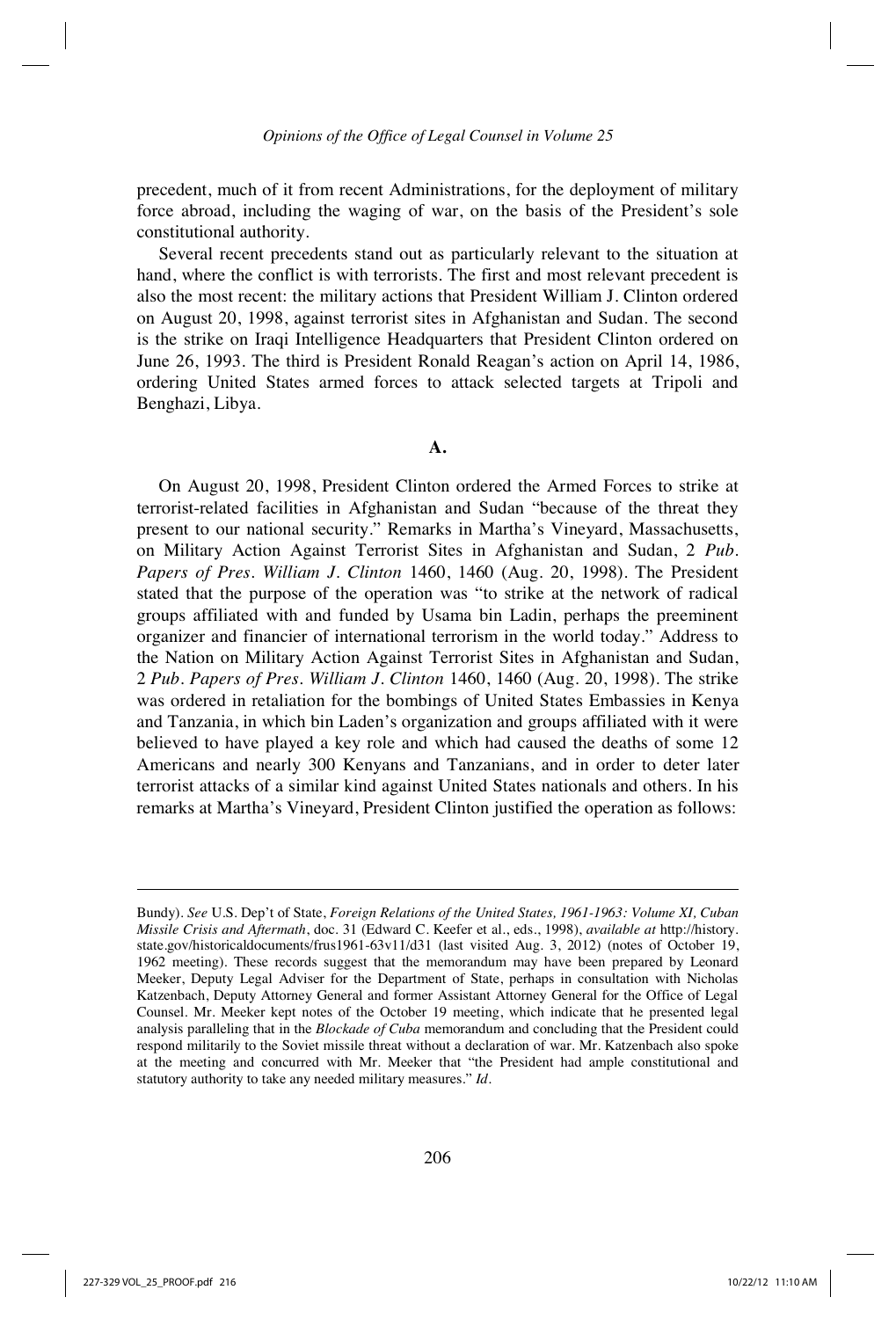precedent, much of it from recent Administrations, for the deployment of military force abroad, including the waging of war, on the basis of the President's sole constitutional authority.

Several recent precedents stand out as particularly relevant to the situation at hand, where the conflict is with terrorists. The first and most relevant precedent is also the most recent: the military actions that President William J. Clinton ordered on August 20, 1998, against terrorist sites in Afghanistan and Sudan. The second is the strike on Iraqi Intelligence Headquarters that President Clinton ordered on June 26, 1993. The third is President Ronald Reagan's action on April 14, 1986, ordering United States armed forces to attack selected targets at Tripoli and Benghazi, Libya.

# **A.**

On August 20, 1998, President Clinton ordered the Armed Forces to strike at terrorist-related facilities in Afghanistan and Sudan "because of the threat they present to our national security." Remarks in Martha's Vineyard, Massachusetts, on Military Action Against Terrorist Sites in Afghanistan and Sudan, 2 *Pub. Papers of Pres. William J. Clinton* 1460, 1460 (Aug. 20, 1998). The President stated that the purpose of the operation was "to strike at the network of radical groups affiliated with and funded by Usama bin Ladin, perhaps the preeminent organizer and financier of international terrorism in the world today." Address to the Nation on Military Action Against Terrorist Sites in Afghanistan and Sudan, 2 *Pub. Papers of Pres. William J. Clinton* 1460, 1460 (Aug. 20, 1998). The strike was ordered in retaliation for the bombings of United States Embassies in Kenya and Tanzania, in which bin Laden's organization and groups affiliated with it were believed to have played a key role and which had caused the deaths of some 12 Americans and nearly 300 Kenyans and Tanzanians, and in order to deter later terrorist attacks of a similar kind against United States nationals and others. In his remarks at Martha's Vineyard, President Clinton justified the operation as follows:

Bundy). *See* U.S. Dep't of State, *Foreign Relations of the United States, 1961-1963: Volume XI, Cuban Missile Crisis and Aftermath*, doc. 31 (Edward C. Keefer et al., eds., 1998), *available at* http://history. state.gov/historicaldocuments/frus1961-63v11/d31 (last visited Aug. 3, 2012) (notes of October 19, 1962 meeting). These records suggest that the memorandum may have been prepared by Leonard Meeker, Deputy Legal Adviser for the Department of State, perhaps in consultation with Nicholas Katzenbach, Deputy Attorney General and former Assistant Attorney General for the Office of Legal Counsel. Mr. Meeker kept notes of the October 19 meeting, which indicate that he presented legal analysis paralleling that in the *Blockade of Cuba* memorandum and concluding that the President could respond militarily to the Soviet missile threat without a declaration of war. Mr. Katzenbach also spoke at the meeting and concurred with Mr. Meeker that "the President had ample constitutional and statutory authority to take any needed military measures." *Id*.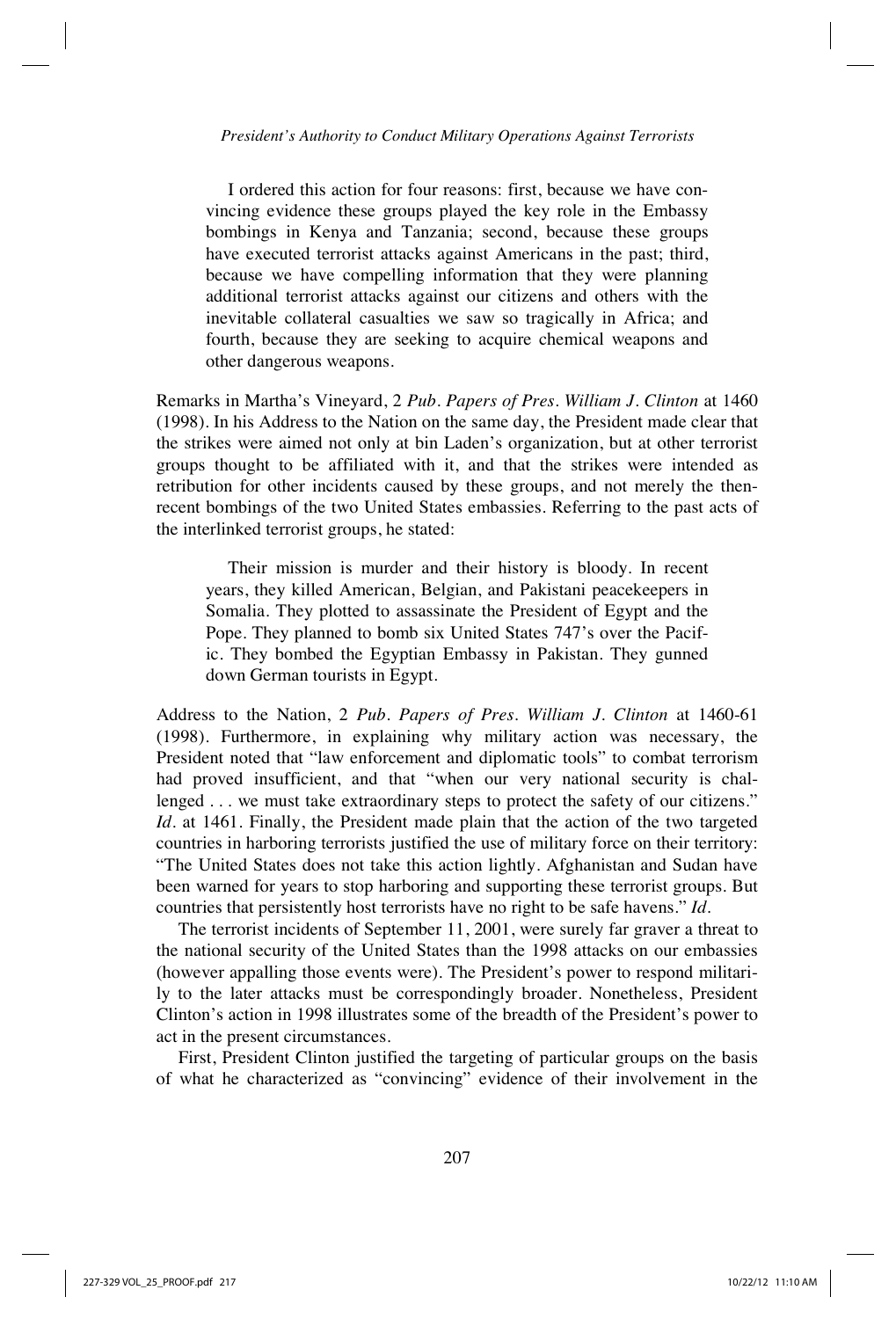I ordered this action for four reasons: first, because we have convincing evidence these groups played the key role in the Embassy bombings in Kenya and Tanzania; second, because these groups have executed terrorist attacks against Americans in the past; third, because we have compelling information that they were planning additional terrorist attacks against our citizens and others with the inevitable collateral casualties we saw so tragically in Africa; and fourth, because they are seeking to acquire chemical weapons and other dangerous weapons.

Remarks in Martha's Vineyard, 2 *Pub. Papers of Pres. William J. Clinton* at 1460 (1998). In his Address to the Nation on the same day, the President made clear that the strikes were aimed not only at bin Laden's organization, but at other terrorist groups thought to be affiliated with it, and that the strikes were intended as retribution for other incidents caused by these groups, and not merely the thenrecent bombings of the two United States embassies. Referring to the past acts of the interlinked terrorist groups, he stated:

Their mission is murder and their history is bloody. In recent years, they killed American, Belgian, and Pakistani peacekeepers in Somalia. They plotted to assassinate the President of Egypt and the Pope. They planned to bomb six United States 747's over the Pacific. They bombed the Egyptian Embassy in Pakistan. They gunned down German tourists in Egypt.

Address to the Nation, 2 *Pub. Papers of Pres. William J. Clinton* at 1460-61 (1998). Furthermore, in explaining why military action was necessary, the President noted that "law enforcement and diplomatic tools" to combat terrorism had proved insufficient, and that "when our very national security is challenged . . . we must take extraordinary steps to protect the safety of our citizens." *Id.* at 1461. Finally, the President made plain that the action of the two targeted countries in harboring terrorists justified the use of military force on their territory: "The United States does not take this action lightly. Afghanistan and Sudan have been warned for years to stop harboring and supporting these terrorist groups. But countries that persistently host terrorists have no right to be safe havens." *Id.*

The terrorist incidents of September 11, 2001, were surely far graver a threat to the national security of the United States than the 1998 attacks on our embassies (however appalling those events were). The President's power to respond militarily to the later attacks must be correspondingly broader. Nonetheless, President Clinton's action in 1998 illustrates some of the breadth of the President's power to act in the present circumstances.

First, President Clinton justified the targeting of particular groups on the basis of what he characterized as "convincing" evidence of their involvement in the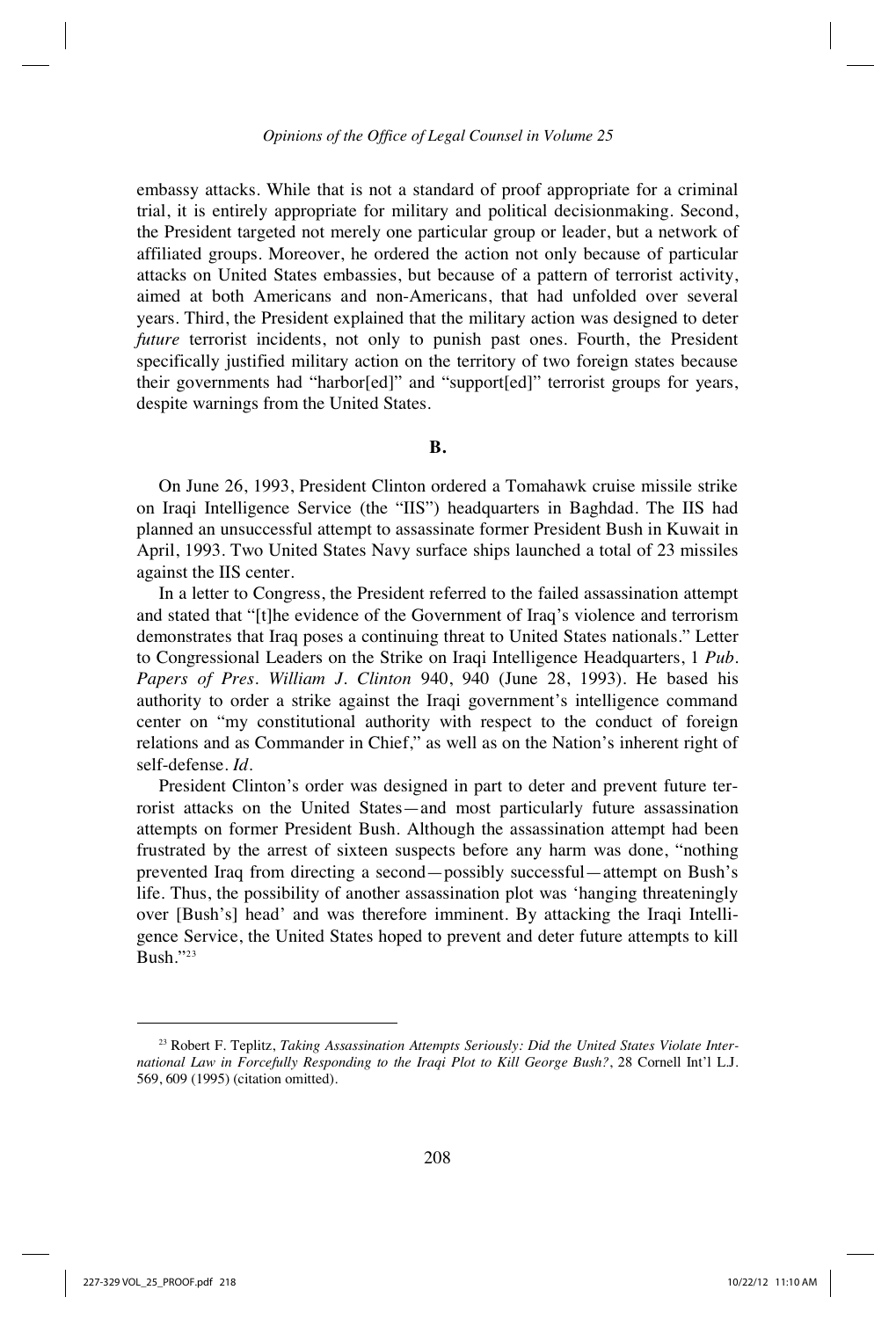embassy attacks. While that is not a standard of proof appropriate for a criminal trial, it is entirely appropriate for military and political decisionmaking. Second, the President targeted not merely one particular group or leader, but a network of affiliated groups. Moreover, he ordered the action not only because of particular attacks on United States embassies, but because of a pattern of terrorist activity, aimed at both Americans and non-Americans, that had unfolded over several years. Third, the President explained that the military action was designed to deter *future* terrorist incidents, not only to punish past ones. Fourth, the President specifically justified military action on the territory of two foreign states because their governments had "harbor[ed]" and "support[ed]" terrorist groups for years, despite warnings from the United States.

## **B.**

On June 26, 1993, President Clinton ordered a Tomahawk cruise missile strike on Iraqi Intelligence Service (the "IIS") headquarters in Baghdad. The IIS had planned an unsuccessful attempt to assassinate former President Bush in Kuwait in April, 1993. Two United States Navy surface ships launched a total of 23 missiles against the IIS center.

In a letter to Congress, the President referred to the failed assassination attempt and stated that "[t]he evidence of the Government of Iraq's violence and terrorism demonstrates that Iraq poses a continuing threat to United States nationals." Letter to Congressional Leaders on the Strike on Iraqi Intelligence Headquarters, 1 *Pub. Papers of Pres. William J. Clinton* 940, 940 (June 28, 1993). He based his authority to order a strike against the Iraqi government's intelligence command center on "my constitutional authority with respect to the conduct of foreign relations and as Commander in Chief," as well as on the Nation's inherent right of self-defense. *Id.*

President Clinton's order was designed in part to deter and prevent future terrorist attacks on the United States—and most particularly future assassination attempts on former President Bush. Although the assassination attempt had been frustrated by the arrest of sixteen suspects before any harm was done, "nothing prevented Iraq from directing a second—possibly successful—attempt on Bush's life. Thus, the possibility of another assassination plot was 'hanging threateningly over [Bush's] head' and was therefore imminent. By attacking the Iraqi Intelligence Service, the United States hoped to prevent and deter future attempts to kill Bush."23

<sup>23</sup> Robert F. Teplitz, *Taking Assassination Attempts Seriously: Did the United States Violate International Law in Forcefully Responding to the Iraqi Plot to Kill George Bush?*, 28 Cornell Int'l L.J. 569, 609 (1995) (citation omitted).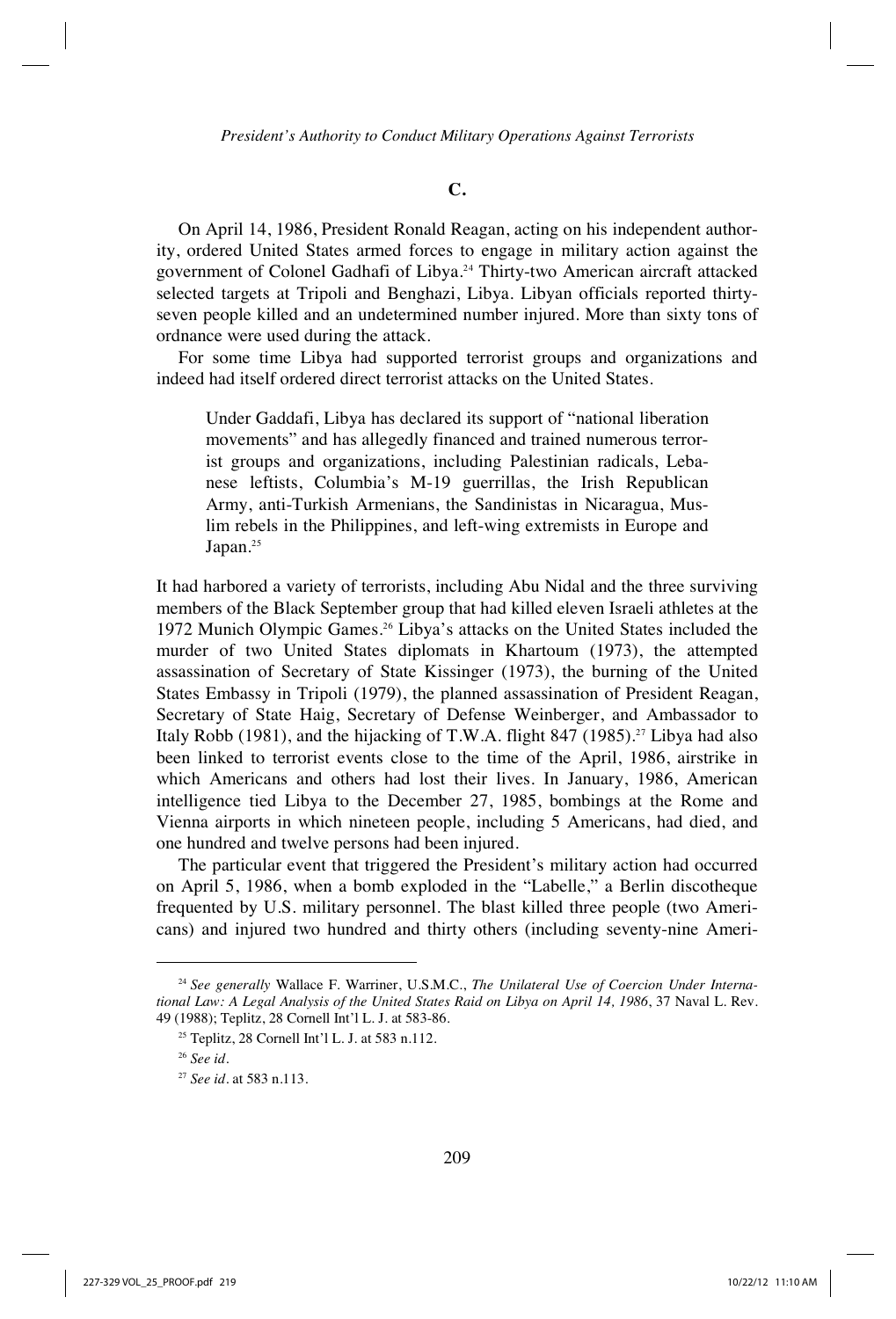# **C.**

On April 14, 1986, President Ronald Reagan, acting on his independent authority, ordered United States armed forces to engage in military action against the government of Colonel Gadhafi of Libya.<sup>24</sup> Thirty-two American aircraft attacked selected targets at Tripoli and Benghazi, Libya. Libyan officials reported thirtyseven people killed and an undetermined number injured. More than sixty tons of ordnance were used during the attack.

For some time Libya had supported terrorist groups and organizations and indeed had itself ordered direct terrorist attacks on the United States.

Under Gaddafi, Libya has declared its support of "national liberation movements" and has allegedly financed and trained numerous terrorist groups and organizations, including Palestinian radicals, Lebanese leftists, Columbia's M-19 guerrillas, the Irish Republican Army, anti-Turkish Armenians, the Sandinistas in Nicaragua, Muslim rebels in the Philippines, and left-wing extremists in Europe and Japan.<sup>25</sup>

It had harbored a variety of terrorists, including Abu Nidal and the three surviving members of the Black September group that had killed eleven Israeli athletes at the 1972 Munich Olympic Games.26 Libya's attacks on the United States included the murder of two United States diplomats in Khartoum (1973), the attempted assassination of Secretary of State Kissinger (1973), the burning of the United States Embassy in Tripoli (1979), the planned assassination of President Reagan, Secretary of State Haig, Secretary of Defense Weinberger, and Ambassador to Italy Robb (1981), and the hijacking of T.W.A. flight 847 (1985).<sup>27</sup> Libya had also been linked to terrorist events close to the time of the April, 1986, airstrike in which Americans and others had lost their lives. In January, 1986, American intelligence tied Libya to the December 27, 1985, bombings at the Rome and Vienna airports in which nineteen people, including 5 Americans, had died, and one hundred and twelve persons had been injured.

The particular event that triggered the President's military action had occurred on April 5, 1986, when a bomb exploded in the "Labelle," a Berlin discotheque frequented by U.S. military personnel. The blast killed three people (two Americans) and injured two hundred and thirty others (including seventy-nine Ameri-

<sup>24</sup> *See generally* Wallace F. Warriner, U.S.M.C., *The Unilateral Use of Coercion Under International Law: A Legal Analysis of the United States Raid on Libya on April 14, 1986*, 37 Naval L. Rev. 49 (1988); Teplitz, 28 Cornell Int'l L. J. at 583-86.

 $25$  Teplitz, 28 Cornell Int'l L. J. at 583 n.112.

<sup>26</sup> *See id.*

<sup>27</sup> *See id.* at 583 n.113.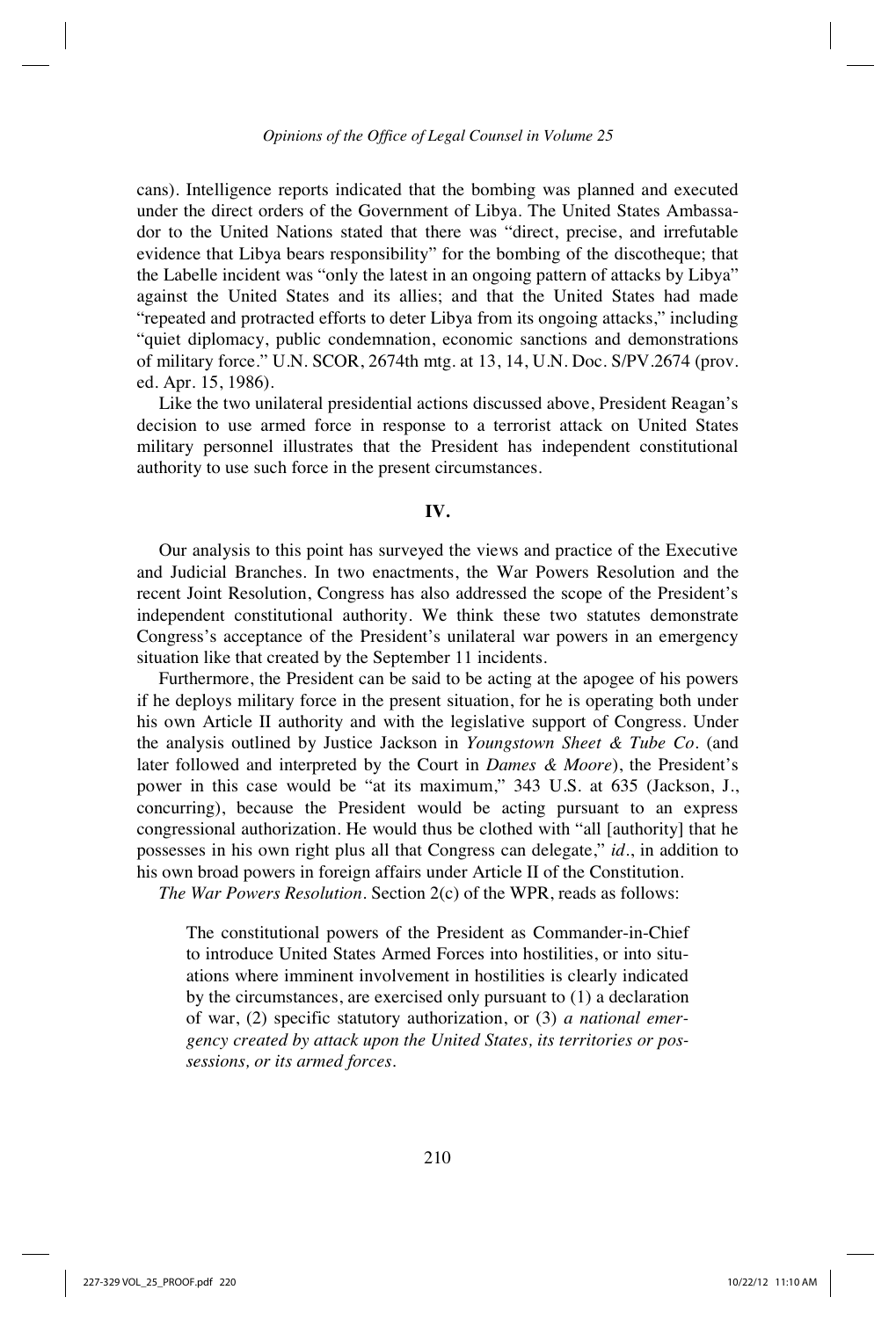cans). Intelligence reports indicated that the bombing was planned and executed under the direct orders of the Government of Libya. The United States Ambassador to the United Nations stated that there was "direct, precise, and irrefutable evidence that Libya bears responsibility" for the bombing of the discotheque; that the Labelle incident was "only the latest in an ongoing pattern of attacks by Libya" against the United States and its allies; and that the United States had made "repeated and protracted efforts to deter Libya from its ongoing attacks," including "quiet diplomacy, public condemnation, economic sanctions and demonstrations of military force." U.N. SCOR, 2674th mtg. at 13, 14, U.N. Doc. S/PV.2674 (prov. ed. Apr. 15, 1986).

Like the two unilateral presidential actions discussed above, President Reagan's decision to use armed force in response to a terrorist attack on United States military personnel illustrates that the President has independent constitutional authority to use such force in the present circumstances.

#### **IV.**

Our analysis to this point has surveyed the views and practice of the Executive and Judicial Branches. In two enactments, the War Powers Resolution and the recent Joint Resolution, Congress has also addressed the scope of the President's independent constitutional authority. We think these two statutes demonstrate Congress's acceptance of the President's unilateral war powers in an emergency situation like that created by the September 11 incidents.

Furthermore, the President can be said to be acting at the apogee of his powers if he deploys military force in the present situation, for he is operating both under his own Article II authority and with the legislative support of Congress. Under the analysis outlined by Justice Jackson in *Youngstown Sheet & Tube Co.* (and later followed and interpreted by the Court in *Dames & Moore*), the President's power in this case would be "at its maximum," 343 U.S. at 635 (Jackson, J., concurring), because the President would be acting pursuant to an express congressional authorization. He would thus be clothed with "all [authority] that he possesses in his own right plus all that Congress can delegate," *id.*, in addition to his own broad powers in foreign affairs under Article II of the Constitution.

*The War Powers Resolution.* Section 2(c) of the WPR, reads as follows:

The constitutional powers of the President as Commander-in-Chief to introduce United States Armed Forces into hostilities, or into situations where imminent involvement in hostilities is clearly indicated by the circumstances, are exercised only pursuant to (1) a declaration of war, (2) specific statutory authorization, or (3) *a national emergency created by attack upon the United States, its territories or possessions, or its armed forces*.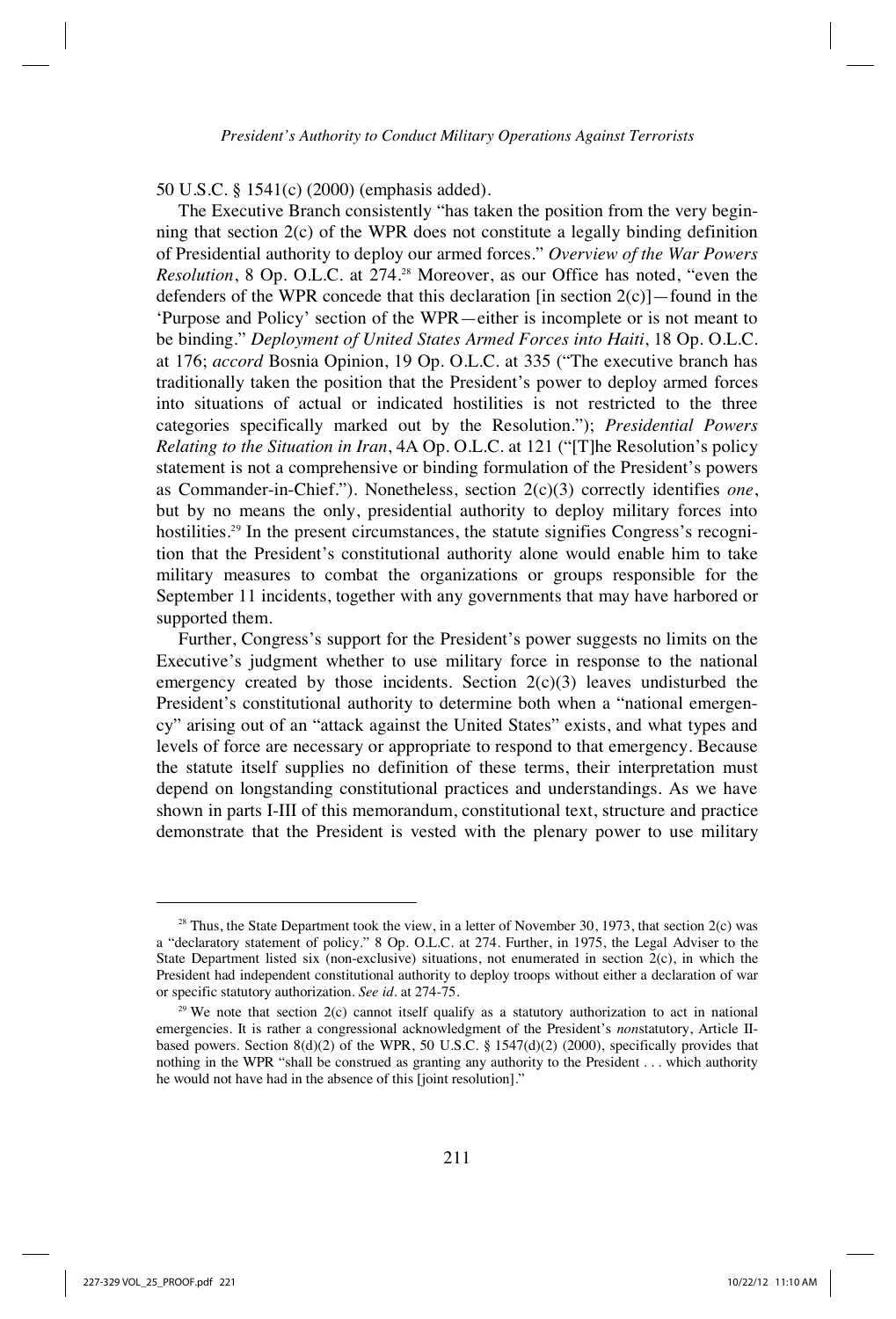50 U.S.C. § 1541(c) (2000) (emphasis added).

The Executive Branch consistently "has taken the position from the very beginning that section 2(c) of the WPR does not constitute a legally binding definition of Presidential authority to deploy our armed forces." *Overview of the War Powers Resolution*, 8 Op. O.L.C. at 274.<sup>28</sup> Moreover, as our Office has noted, "even the defenders of the WPR concede that this declaration  $\lim$  section  $2(c)$  – found in the 'Purpose and Policy' section of the WPR—either is incomplete or is not meant to be binding." *Deployment of United States Armed Forces into Haiti*, 18 Op. O.L.C. at 176; *accord* Bosnia Opinion, 19 Op. O.L.C. at 335 ("The executive branch has traditionally taken the position that the President's power to deploy armed forces into situations of actual or indicated hostilities is not restricted to the three categories specifically marked out by the Resolution."); *Presidential Powers Relating to the Situation in Iran*, 4A Op. O.L.C. at 121 ("[T]he Resolution's policy statement is not a comprehensive or binding formulation of the President's powers as Commander-in-Chief."). Nonetheless, section 2(c)(3) correctly identifies *one*, but by no means the only, presidential authority to deploy military forces into hostilities.<sup>29</sup> In the present circumstances, the statute signifies Congress's recognition that the President's constitutional authority alone would enable him to take military measures to combat the organizations or groups responsible for the September 11 incidents, together with any governments that may have harbored or supported them.

Further, Congress's support for the President's power suggests no limits on the Executive's judgment whether to use military force in response to the national emergency created by those incidents. Section  $2(c)(3)$  leaves undisturbed the President's constitutional authority to determine both when a "national emergency" arising out of an "attack against the United States" exists, and what types and levels of force are necessary or appropriate to respond to that emergency. Because the statute itself supplies no definition of these terms, their interpretation must depend on longstanding constitutional practices and understandings. As we have shown in parts I-III of this memorandum, constitutional text, structure and practice demonstrate that the President is vested with the plenary power to use military

 $28$  Thus, the State Department took the view, in a letter of November 30, 1973, that section  $2(c)$  was a "declaratory statement of policy." 8 Op. O.L.C. at 274. Further, in 1975, the Legal Adviser to the State Department listed six (non-exclusive) situations, not enumerated in section 2(c), in which the President had independent constitutional authority to deploy troops without either a declaration of war or specific statutory authorization. *See id.* at 274-75.

<sup>&</sup>lt;sup>29</sup> We note that section 2(c) cannot itself qualify as a statutory authorization to act in national emergencies. It is rather a congressional acknowledgment of the President's *non*statutory, Article IIbased powers. Section 8(d)(2) of the WPR, 50 U.S.C. § 1547(d)(2) (2000), specifically provides that nothing in the WPR "shall be construed as granting any authority to the President . . . which authority he would not have had in the absence of this [joint resolution]."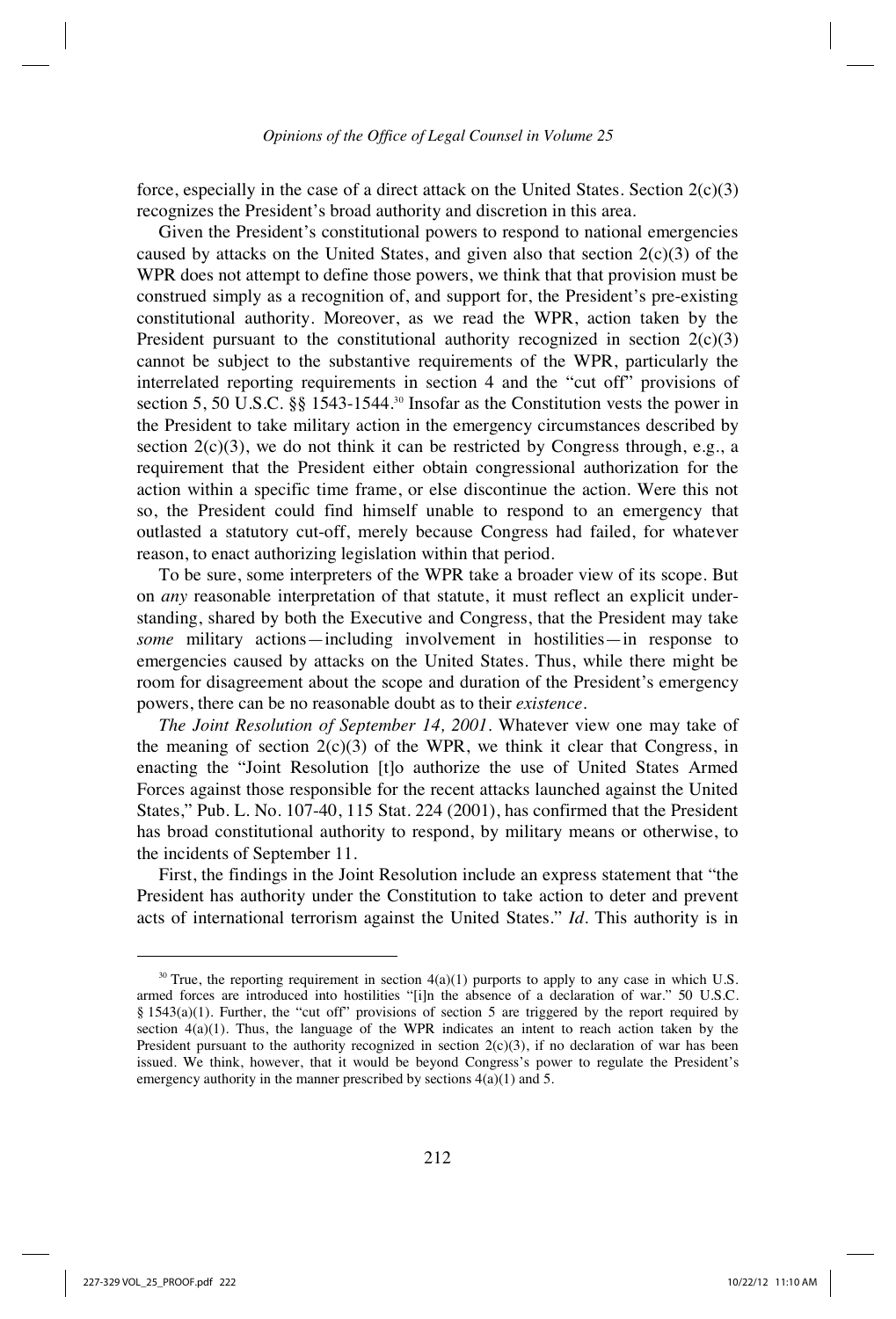force, especially in the case of a direct attack on the United States. Section  $2(c)(3)$ recognizes the President's broad authority and discretion in this area.

Given the President's constitutional powers to respond to national emergencies caused by attacks on the United States, and given also that section  $2(c)(3)$  of the WPR does not attempt to define those powers, we think that that provision must be construed simply as a recognition of, and support for, the President's pre-existing constitutional authority. Moreover, as we read the WPR, action taken by the President pursuant to the constitutional authority recognized in section  $2(c)(3)$ cannot be subject to the substantive requirements of the WPR, particularly the interrelated reporting requirements in section 4 and the "cut off" provisions of section 5, 50 U.S.C. §§ 1543-1544.<sup>30</sup> Insofar as the Constitution vests the power in the President to take military action in the emergency circumstances described by section  $2(c)(3)$ , we do not think it can be restricted by Congress through, e.g., a requirement that the President either obtain congressional authorization for the action within a specific time frame, or else discontinue the action. Were this not so, the President could find himself unable to respond to an emergency that outlasted a statutory cut-off, merely because Congress had failed, for whatever reason, to enact authorizing legislation within that period.

To be sure, some interpreters of the WPR take a broader view of its scope. But on *any* reasonable interpretation of that statute, it must reflect an explicit understanding, shared by both the Executive and Congress, that the President may take *some* military actions—including involvement in hostilities—in response to emergencies caused by attacks on the United States. Thus, while there might be room for disagreement about the scope and duration of the President's emergency powers, there can be no reasonable doubt as to their *existence*.

*The Joint Resolution of September 14, 2001*. Whatever view one may take of the meaning of section  $2(c)(3)$  of the WPR, we think it clear that Congress, in enacting the "Joint Resolution [t]o authorize the use of United States Armed Forces against those responsible for the recent attacks launched against the United States," Pub. L. No. 107-40, 115 Stat. 224 (2001), has confirmed that the President has broad constitutional authority to respond, by military means or otherwise, to the incidents of September 11.

First, the findings in the Joint Resolution include an express statement that "the President has authority under the Constitution to take action to deter and prevent acts of international terrorism against the United States." *Id.* This authority is in

<sup>&</sup>lt;sup>30</sup> True, the reporting requirement in section  $4(a)(1)$  purports to apply to any case in which U.S. armed forces are introduced into hostilities "[i]n the absence of a declaration of war." 50 U.S.C. § 1543(a)(1). Further, the "cut off" provisions of section 5 are triggered by the report required by section  $4(a)(1)$ . Thus, the language of the WPR indicates an intent to reach action taken by the President pursuant to the authority recognized in section  $2(c)(3)$ , if no declaration of war has been issued. We think, however, that it would be beyond Congress's power to regulate the President's emergency authority in the manner prescribed by sections 4(a)(1) and 5.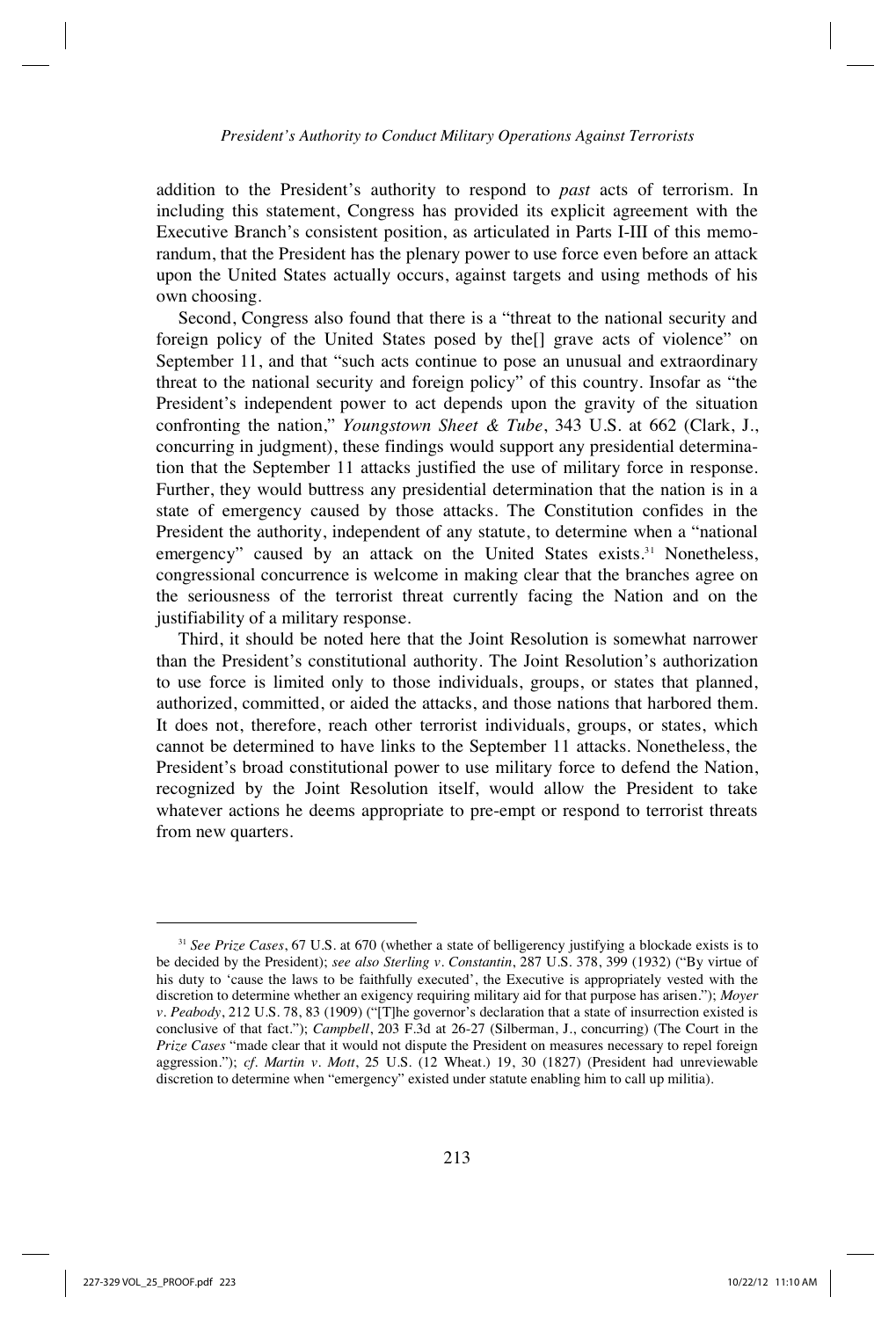addition to the President's authority to respond to *past* acts of terrorism. In including this statement, Congress has provided its explicit agreement with the Executive Branch's consistent position, as articulated in Parts I-III of this memorandum, that the President has the plenary power to use force even before an attack upon the United States actually occurs, against targets and using methods of his own choosing.

Second, Congress also found that there is a "threat to the national security and foreign policy of the United States posed by the[] grave acts of violence" on September 11, and that "such acts continue to pose an unusual and extraordinary threat to the national security and foreign policy" of this country. Insofar as "the President's independent power to act depends upon the gravity of the situation confronting the nation," *Youngstown Sheet & Tube*, 343 U.S. at 662 (Clark, J., concurring in judgment), these findings would support any presidential determination that the September 11 attacks justified the use of military force in response. Further, they would buttress any presidential determination that the nation is in a state of emergency caused by those attacks. The Constitution confides in the President the authority, independent of any statute, to determine when a "national emergency" caused by an attack on the United States exists.<sup>31</sup> Nonetheless, congressional concurrence is welcome in making clear that the branches agree on the seriousness of the terrorist threat currently facing the Nation and on the justifiability of a military response.

Third, it should be noted here that the Joint Resolution is somewhat narrower than the President's constitutional authority. The Joint Resolution's authorization to use force is limited only to those individuals, groups, or states that planned, authorized, committed, or aided the attacks, and those nations that harbored them. It does not, therefore, reach other terrorist individuals, groups, or states, which cannot be determined to have links to the September 11 attacks. Nonetheless, the President's broad constitutional power to use military force to defend the Nation, recognized by the Joint Resolution itself, would allow the President to take whatever actions he deems appropriate to pre-empt or respond to terrorist threats from new quarters.

<sup>31</sup> *See Prize Cases*, 67 U.S. at 670 (whether a state of belligerency justifying a blockade exists is to be decided by the President); *see also Sterling v. Constantin*, 287 U.S. 378, 399 (1932) ("By virtue of his duty to 'cause the laws to be faithfully executed', the Executive is appropriately vested with the discretion to determine whether an exigency requiring military aid for that purpose has arisen."); *Moyer v. Peabody*, 212 U.S. 78, 83 (1909) ("[T]he governor's declaration that a state of insurrection existed is conclusive of that fact."); *Campbell*, 203 F.3d at 26-27 (Silberman, J., concurring) (The Court in the *Prize Cases* "made clear that it would not dispute the President on measures necessary to repel foreign aggression."); *cf. Martin v. Mott*, 25 U.S. (12 Wheat.) 19, 30 (1827) (President had unreviewable discretion to determine when "emergency" existed under statute enabling him to call up militia).